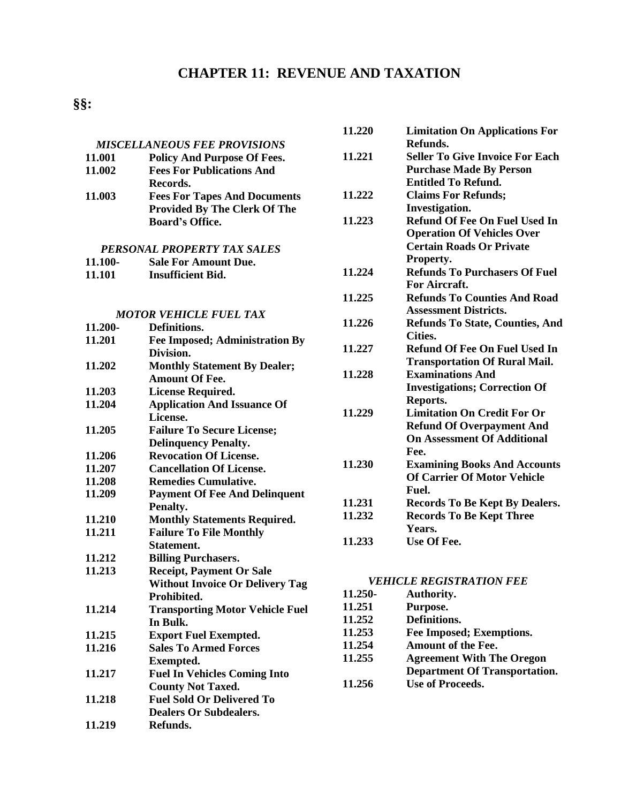# **CHAPTER 11: REVENUE AND TAXATION**

# **§§:**

|                               |                                        | 11.220  | <b>Limitation On Applications For</b>  |
|-------------------------------|----------------------------------------|---------|----------------------------------------|
|                               | <b>MISCELLANEOUS FEE PROVISIONS</b>    |         | Refunds.                               |
| 11.001                        | <b>Policy And Purpose Of Fees.</b>     | 11.221  | <b>Seller To Give Invoice For Each</b> |
| 11.002                        | <b>Fees For Publications And</b>       |         | <b>Purchase Made By Person</b>         |
|                               | Records.                               |         | <b>Entitled To Refund.</b>             |
| 11.003                        | <b>Fees For Tapes And Documents</b>    | 11.222  | <b>Claims For Refunds;</b>             |
|                               | <b>Provided By The Clerk Of The</b>    |         | Investigation.                         |
|                               | <b>Board's Office.</b>                 | 11.223  | <b>Refund Of Fee On Fuel Used In</b>   |
|                               |                                        |         | <b>Operation Of Vehicles Over</b>      |
| PERSONAL PROPERTY TAX SALES   |                                        |         | <b>Certain Roads Or Private</b>        |
| 11.100-                       | <b>Sale For Amount Due.</b>            |         | Property.                              |
| 11.101                        | <b>Insufficient Bid.</b>               | 11.224  | <b>Refunds To Purchasers Of Fuel</b>   |
|                               |                                        |         | For Aircraft.                          |
|                               |                                        | 11.225  | <b>Refunds To Counties And Road</b>    |
|                               |                                        |         | <b>Assessment Districts.</b>           |
| <b>MOTOR VEHICLE FUEL TAX</b> |                                        | 11.226  | <b>Refunds To State, Counties, And</b> |
| 11.200-                       | Definitions.                           |         | Cities.                                |
| 11.201                        | <b>Fee Imposed; Administration By</b>  | 11.227  | <b>Refund Of Fee On Fuel Used In</b>   |
|                               | Division.                              |         | <b>Transportation Of Rural Mail.</b>   |
| 11.202                        | <b>Monthly Statement By Dealer;</b>    |         |                                        |
|                               | <b>Amount Of Fee.</b>                  | 11.228  | <b>Examinations And</b>                |
| 11.203                        | <b>License Required.</b>               |         | <b>Investigations; Correction Of</b>   |
| 11.204                        | <b>Application And Issuance Of</b>     |         | Reports.                               |
|                               | License.                               | 11.229  | <b>Limitation On Credit For Or</b>     |
| 11.205                        | <b>Failure To Secure License;</b>      |         | <b>Refund Of Overpayment And</b>       |
|                               | <b>Delinquency Penalty.</b>            |         | <b>On Assessment Of Additional</b>     |
| 11.206                        | <b>Revocation Of License.</b>          |         | Fee.                                   |
| 11.207                        | <b>Cancellation Of License.</b>        | 11.230  | <b>Examining Books And Accounts</b>    |
| 11.208                        | <b>Remedies Cumulative.</b>            |         | <b>Of Carrier Of Motor Vehicle</b>     |
| 11.209                        | <b>Payment Of Fee And Delinquent</b>   |         | Fuel.                                  |
|                               | Penalty.                               | 11.231  | <b>Records To Be Kept By Dealers.</b>  |
| 11.210                        | <b>Monthly Statements Required.</b>    | 11.232  | <b>Records To Be Kept Three</b>        |
| 11.211                        | <b>Failure To File Monthly</b>         |         | Years.                                 |
|                               | Statement.                             | 11.233  | Use Of Fee.                            |
| 11.212                        | <b>Billing Purchasers.</b>             |         |                                        |
| 11.213                        | <b>Receipt, Payment Or Sale</b>        |         |                                        |
|                               | <b>Without Invoice Or Delivery Tag</b> |         | <b>VEHICLE REGISTRATION FEE</b>        |
|                               | Prohibited.                            | 11.250- | Authority.                             |
| 11.214                        | <b>Transporting Motor Vehicle Fuel</b> | 11.251  | Purpose.                               |
|                               | In Bulk.                               | 11.252  | Definitions.                           |
| 11.215                        | <b>Export Fuel Exempted.</b>           | 11.253  | Fee Imposed; Exemptions.               |
| 11.216                        | <b>Sales To Armed Forces</b>           | 11.254  | Amount of the Fee.                     |
|                               | <b>Exempted.</b>                       | 11.255  | <b>Agreement With The Oregon</b>       |
| 11.217                        | <b>Fuel In Vehicles Coming Into</b>    |         | <b>Department Of Transportation.</b>   |
|                               | <b>County Not Taxed.</b>               | 11.256  | <b>Use of Proceeds.</b>                |
| 11.218                        | <b>Fuel Sold Or Delivered To</b>       |         |                                        |
|                               | <b>Dealers Or Subdealers.</b>          |         |                                        |
|                               |                                        |         |                                        |
| 11.219                        | Refunds.                               |         |                                        |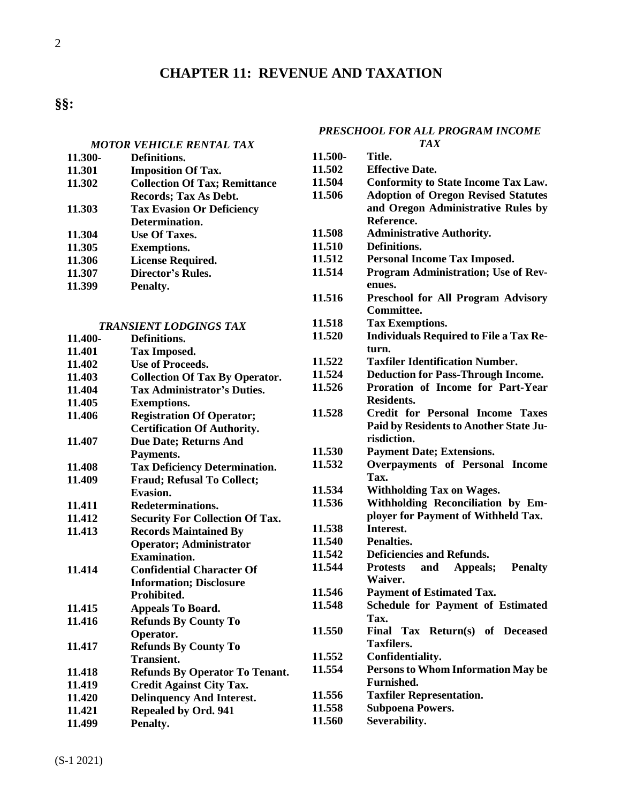# **CHAPTER 11: REVENUE AND TAXATION**

2

### *[MOTOR VEHICLE RENTAL TAX](#page-18-0)*

| 11.300- | Definitions.                         |
|---------|--------------------------------------|
| 11.301  | <b>Imposition Of Tax.</b>            |
| 11.302  | <b>Collection Of Tax; Remittance</b> |
|         | Records; Tax As Debt.                |
| 11.303  | <b>Tax Evasion Or Deficiency</b>     |
|         | Determination.                       |
| 11.304  | <b>Use Of Taxes.</b>                 |
| 11.305  | <b>Exemptions.</b>                   |
| 11.306  | <b>License Required.</b>             |
| 11.307  | Director's Rules.                    |
| 11.399  | Penalty.                             |
|         |                                      |

# *[TRANSIENT LODGINGS TAX](#page-22-0)*

| 11.400- | Definitions.                           |
|---------|----------------------------------------|
| 11.401  | <b>Tax Imposed.</b>                    |
| 11.402  | <b>Use of Proceeds.</b>                |
| 11.403  | <b>Collection Of Tax By Operator.</b>  |
| 11.404  | <b>Tax Administrator's Duties.</b>     |
| 11.405  | <b>Exemptions.</b>                     |
| 11.406  | <b>Registration Of Operator;</b>       |
|         | <b>Certification Of Authority.</b>     |
| 11.407  | <b>Due Date; Returns And</b>           |
|         | Payments.                              |
| 11.408  | <b>Tax Deficiency Determination.</b>   |
| 11.409  | <b>Fraud; Refusal To Collect;</b>      |
|         | <b>Evasion.</b>                        |
| 11.411  | Redeterminations.                      |
| 11.412  | <b>Security For Collection Of Tax.</b> |
| 11.413  | <b>Records Maintained By</b>           |
|         | <b>Operator; Administrator</b>         |
|         | Examination.                           |
| 11.414  | <b>Confidential Character Of</b>       |
|         | <b>Information; Disclosure</b>         |
|         | Prohibited.                            |
| 11.415  | <b>Appeals To Board.</b>               |
| 11.416  | <b>Refunds By County To</b>            |
|         | Operator.                              |
| 11.417  | <b>Refunds By County To</b>            |
|         | Transient.                             |
| 11.418  | <b>Refunds By Operator To Tenant.</b>  |
| 11.419  | <b>Credit Against City Tax.</b>        |
| 11.420  | <b>Delinquency And Interest.</b>       |
| 11.421  | <b>Repealed by Ord. 941</b>            |
| 11.499  | Penalty.                               |

# *[PRESCHOOL FOR ALL PROGRAM INCOME](#page-30-0)*

| <b>TAX</b> |                                                      |  |
|------------|------------------------------------------------------|--|
| 11.500-    | Title.                                               |  |
| 11.502     | <b>Effective Date.</b>                               |  |
| 11.504     | <b>Conformity to State Income Tax Law.</b>           |  |
| 11.506     | <b>Adoption of Oregon Revised Statutes</b>           |  |
|            | and Oregon Administrative Rules by                   |  |
|            | Reference.                                           |  |
| 11.508     | <b>Administrative Authority.</b>                     |  |
| 11.510     | Definitions.                                         |  |
| 11.512     | <b>Personal Income Tax Imposed.</b>                  |  |
| 11.514     | Program Administration; Use of Rev-                  |  |
|            | enues.                                               |  |
| 11.516     | Preschool for All Program Advisory                   |  |
|            | Committee.                                           |  |
| 11.518     | <b>Tax Exemptions.</b>                               |  |
| 11.520     | <b>Individuals Required to File a Tax Re-</b>        |  |
|            | turn.                                                |  |
| 11.522     | <b>Taxfiler Identification Number.</b>               |  |
| 11.524     | <b>Deduction for Pass-Through Income.</b>            |  |
| 11.526     | Proration of Income for Part-Year                    |  |
|            | Residents.                                           |  |
| 11.528     | <b>Credit for Personal Income Taxes</b>              |  |
|            | Paid by Residents to Another State Ju-               |  |
|            | risdiction.                                          |  |
| 11.530     | <b>Payment Date; Extensions.</b>                     |  |
| 11.532     | Overpayments of Personal Income                      |  |
|            | Tax.                                                 |  |
| 11.534     | <b>Withholding Tax on Wages.</b>                     |  |
| 11.536     | Withholding Reconciliation by Em-                    |  |
|            | ployer for Payment of Withheld Tax.                  |  |
| 11.538     | Interest.                                            |  |
| 11.540     | <b>Penalties.</b>                                    |  |
| 11.542     | <b>Deficiencies and Refunds.</b>                     |  |
| 11.544     | <b>Protests</b><br>Appeals;<br><b>Penalty</b><br>and |  |
|            | Waiver.                                              |  |
| 11.546     | <b>Payment of Estimated Tax.</b>                     |  |
| 11.548     | <b>Schedule for Payment of Estimated</b>             |  |
|            | Tax.                                                 |  |
| 11.550     | Final Tax Return(s) of Deceased                      |  |
|            | <b>Taxfilers.</b>                                    |  |
| 11.552     | Confidentiality.                                     |  |
| 11.554     | Persons to Whom Information May be                   |  |
|            | <b>Furnished.</b>                                    |  |
| 11.556     | <b>Taxfiler Representation.</b>                      |  |
| 11.558     | <b>Subpoena Powers.</b>                              |  |
| 11.560     | Severability.                                        |  |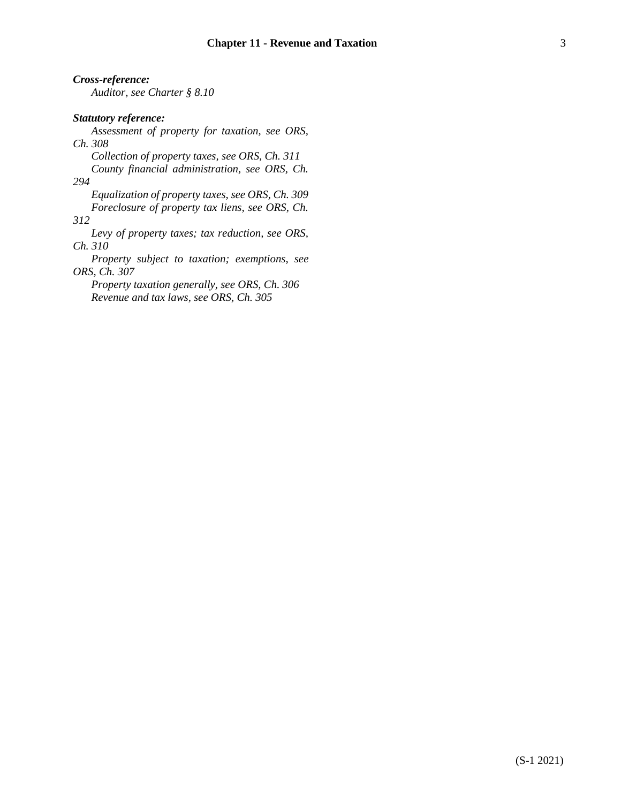*Cross-reference: Auditor, see Charter § 8.10 Statutory reference: Assessment of property for taxation, see ORS, Ch. 308 Collection of property taxes, see ORS, Ch. 311 County financial administration, see ORS, Ch. 294 Equalization of property taxes, see ORS, Ch. 309 Foreclosure of property tax liens, see ORS, Ch. 312 Levy of property taxes; tax reduction, see ORS, Ch. 310 Property subject to taxation; exemptions, see ORS, Ch. 307 Property taxation generally, see ORS, Ch. 306 Revenue and tax laws, see ORS, Ch. 305*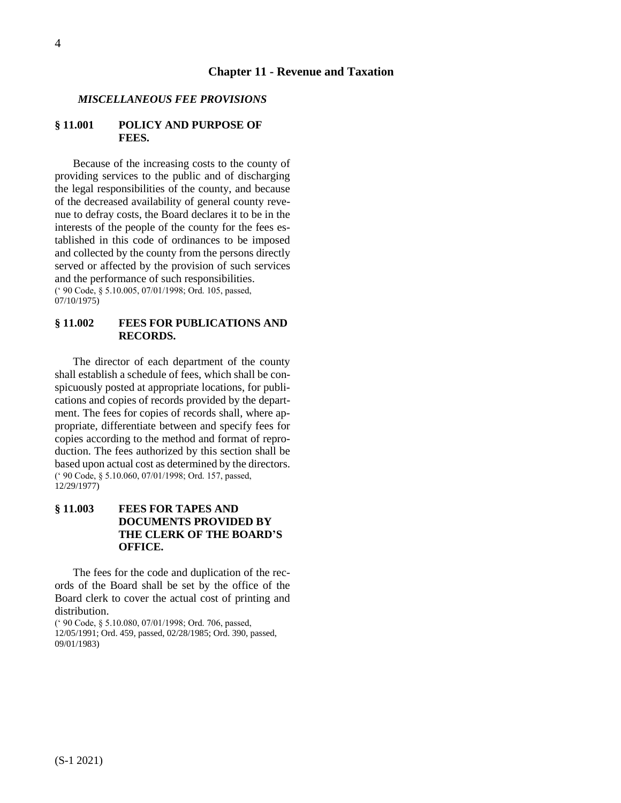### **Chapter 11 - Revenue and Taxation**

#### <span id="page-3-0"></span>*MISCELLANEOUS FEE PROVISIONS*

### <span id="page-3-1"></span>**§ 11.001 POLICY AND PURPOSE OF FEES.**

Because of the increasing costs to the county of providing services to the public and of discharging the legal responsibilities of the county, and because of the decreased availability of general county revenue to defray costs, the Board declares it to be in the interests of the people of the county for the fees established in this code of ordinances to be imposed and collected by the county from the persons directly served or affected by the provision of such services and the performance of such responsibilities. (' 90 Code, § 5.10.005, 07/01/1998; Ord. 105, passed,

07/10/1975)

# <span id="page-3-2"></span>**§ 11.002 FEES FOR PUBLICATIONS AND RECORDS.**

The director of each department of the county shall establish a schedule of fees, which shall be conspicuously posted at appropriate locations, for publications and copies of records provided by the department. The fees for copies of records shall, where appropriate, differentiate between and specify fees for copies according to the method and format of reproduction. The fees authorized by this section shall be based upon actual cost as determined by the directors. (' 90 Code, § 5.10.060, 07/01/1998; Ord. 157, passed, 12/29/1977)

# <span id="page-3-3"></span>**§ 11.003 FEES FOR TAPES AND DOCUMENTS PROVIDED BY THE CLERK OF THE BOARD'S OFFICE.**

The fees for the code and duplication of the records of the Board shall be set by the office of the Board clerk to cover the actual cost of printing and distribution.

(' 90 Code, § 5.10.080, 07/01/1998; Ord. 706, passed, 12/05/1991; Ord. 459, passed, 02/28/1985; Ord. 390, passed, 09/01/1983)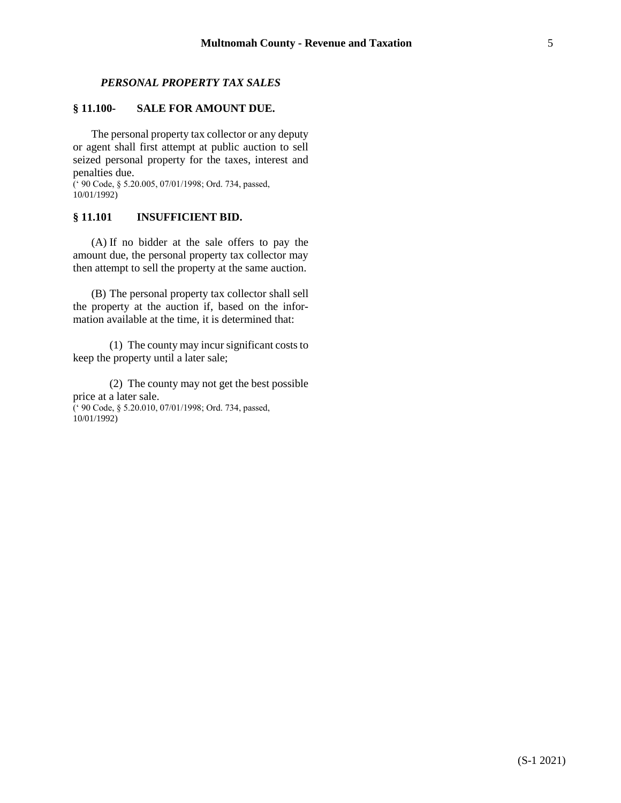# *PERSONAL PROPERTY TAX SALES*

# <span id="page-4-1"></span><span id="page-4-0"></span>**§ 11.100- SALE FOR AMOUNT DUE.**

The personal property tax collector or any deputy or agent shall first attempt at public auction to sell seized personal property for the taxes, interest and penalties due.

(' 90 Code, § 5.20.005, 07/01/1998; Ord. 734, passed, 10/01/1992)

### <span id="page-4-2"></span>**§ 11.101 INSUFFICIENT BID.**

(A) If no bidder at the sale offers to pay the amount due, the personal property tax collector may then attempt to sell the property at the same auction.

(B) The personal property tax collector shall sell the property at the auction if, based on the information available at the time, it is determined that:

(1) The county may incur significant costs to keep the property until a later sale;

(2) The county may not get the best possible price at a later sale. (' 90 Code, § 5.20.010, 07/01/1998; Ord. 734, passed,  $10/01/1992)$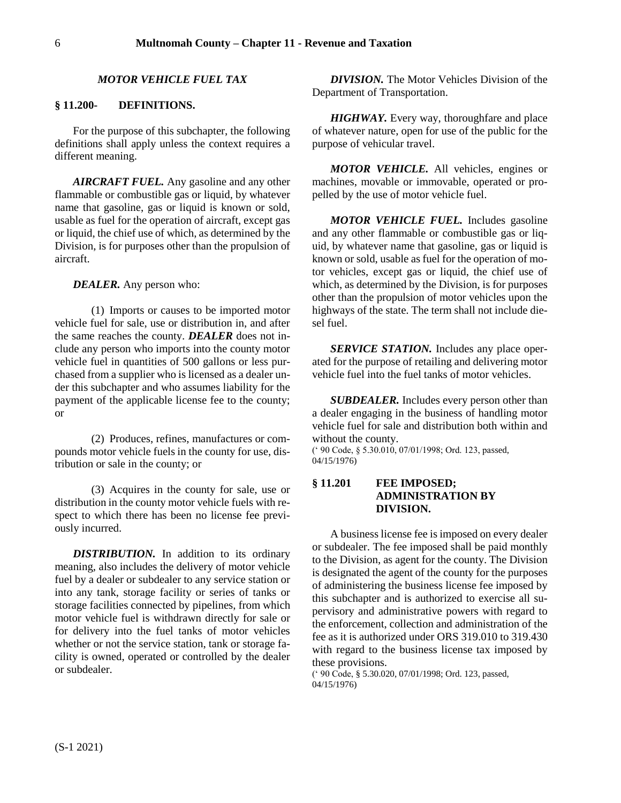#### *MOTOR VEHICLE FUEL TAX*

#### <span id="page-5-1"></span><span id="page-5-0"></span>**§ 11.200- DEFINITIONS.**

For the purpose of this subchapter, the following definitions shall apply unless the context requires a different meaning.

*AIRCRAFT FUEL.* Any gasoline and any other flammable or combustible gas or liquid, by whatever name that gasoline, gas or liquid is known or sold, usable as fuel for the operation of aircraft, except gas or liquid, the chief use of which, as determined by the Division, is for purposes other than the propulsion of aircraft.

*DEALER.* Any person who:

(1) Imports or causes to be imported motor vehicle fuel for sale, use or distribution in, and after the same reaches the county. *DEALER* does not include any person who imports into the county motor vehicle fuel in quantities of 500 gallons or less purchased from a supplier who is licensed as a dealer under this subchapter and who assumes liability for the payment of the applicable license fee to the county; or

(2) Produces, refines, manufactures or compounds motor vehicle fuels in the county for use, distribution or sale in the county; or

(3) Acquires in the county for sale, use or distribution in the county motor vehicle fuels with respect to which there has been no license fee previously incurred.

**DISTRIBUTION.** In addition to its ordinary meaning, also includes the delivery of motor vehicle fuel by a dealer or subdealer to any service station or into any tank, storage facility or series of tanks or storage facilities connected by pipelines, from which motor vehicle fuel is withdrawn directly for sale or for delivery into the fuel tanks of motor vehicles whether or not the service station, tank or storage facility is owned, operated or controlled by the dealer or subdealer.

*DIVISION.* The Motor Vehicles Division of the Department of Transportation.

*HIGHWAY.* Every way, thoroughfare and place of whatever nature, open for use of the public for the purpose of vehicular travel.

*MOTOR VEHICLE.* All vehicles, engines or machines, movable or immovable, operated or propelled by the use of motor vehicle fuel.

*MOTOR VEHICLE FUEL.* Includes gasoline and any other flammable or combustible gas or liquid, by whatever name that gasoline, gas or liquid is known or sold, usable as fuel for the operation of motor vehicles, except gas or liquid, the chief use of which, as determined by the Division, is for purposes other than the propulsion of motor vehicles upon the highways of the state. The term shall not include diesel fuel.

*SERVICE STATION.* Includes any place operated for the purpose of retailing and delivering motor vehicle fuel into the fuel tanks of motor vehicles.

*SUBDEALER.* Includes every person other than a dealer engaging in the business of handling motor vehicle fuel for sale and distribution both within and without the county.

(' 90 Code, § 5.30.010, 07/01/1998; Ord. 123, passed, 04/15/1976)

# <span id="page-5-2"></span>**§ 11.201 FEE IMPOSED; ADMINISTRATION BY DIVISION.**

A business license fee is imposed on every dealer or subdealer. The fee imposed shall be paid monthly to the Division, as agent for the county. The Division is designated the agent of the county for the purposes of administering the business license fee imposed by this subchapter and is authorized to exercise all supervisory and administrative powers with regard to the enforcement, collection and administration of the fee as it is authorized under ORS 319.010 to 319.430 with regard to the business license tax imposed by these provisions.

(' 90 Code, § 5.30.020, 07/01/1998; Ord. 123, passed, 04/15/1976)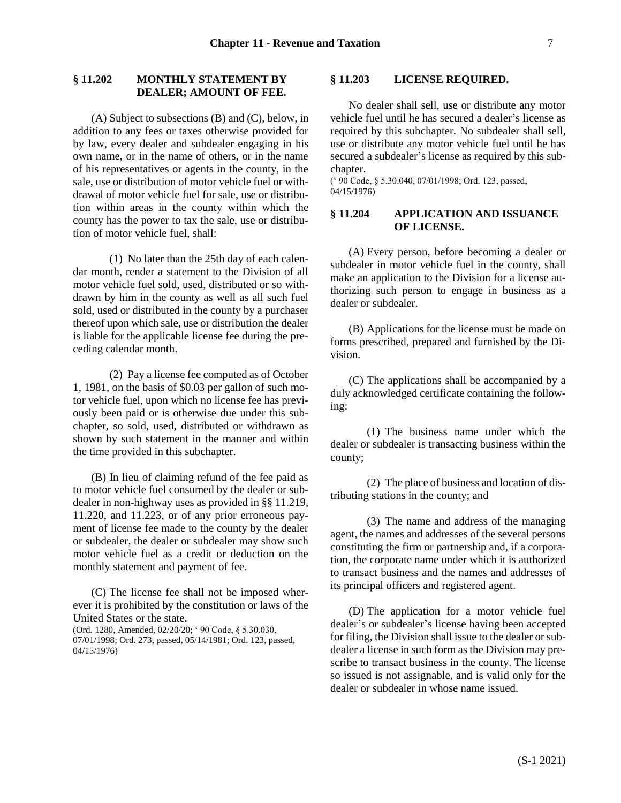# <span id="page-6-0"></span>**§ 11.202 MONTHLY STATEMENT BY DEALER; AMOUNT OF FEE.**

(A) Subject to subsections (B) and (C), below, in addition to any fees or taxes otherwise provided for by law, every dealer and subdealer engaging in his own name, or in the name of others, or in the name of his representatives or agents in the county, in the sale, use or distribution of motor vehicle fuel or withdrawal of motor vehicle fuel for sale, use or distribution within areas in the county within which the county has the power to tax the sale, use or distribution of motor vehicle fuel, shall:

(1) No later than the 25th day of each calendar month, render a statement to the Division of all motor vehicle fuel sold, used, distributed or so withdrawn by him in the county as well as all such fuel sold, used or distributed in the county by a purchaser thereof upon which sale, use or distribution the dealer is liable for the applicable license fee during the preceding calendar month.

(2) Pay a license fee computed as of October 1, 1981, on the basis of \$0.03 per gallon of such motor vehicle fuel, upon which no license fee has previously been paid or is otherwise due under this subchapter, so sold, used, distributed or withdrawn as shown by such statement in the manner and within the time provided in this subchapter.

(B) In lieu of claiming refund of the fee paid as to motor vehicle fuel consumed by the dealer or subdealer in non-highway uses as provided in §§ 11.219, 11.220, and 11.223, or of any prior erroneous payment of license fee made to the county by the dealer or subdealer, the dealer or subdealer may show such motor vehicle fuel as a credit or deduction on the monthly statement and payment of fee.

(C) The license fee shall not be imposed wherever it is prohibited by the constitution or laws of the United States or the state.

(Ord. 1280, Amended, 02/20/20; ' 90 Code, § 5.30.030, 07/01/1998; Ord. 273, passed, 05/14/1981; Ord. 123, passed, 04/15/1976)

#### <span id="page-6-1"></span>**§ 11.203 LICENSE REQUIRED.**

No dealer shall sell, use or distribute any motor vehicle fuel until he has secured a dealer's license as required by this subchapter. No subdealer shall sell, use or distribute any motor vehicle fuel until he has secured a subdealer's license as required by this subchapter.

(' 90 Code, § 5.30.040, 07/01/1998; Ord. 123, passed, 04/15/1976)

### <span id="page-6-2"></span>**§ 11.204 APPLICATION AND ISSUANCE OF LICENSE.**

(A) Every person, before becoming a dealer or subdealer in motor vehicle fuel in the county, shall make an application to the Division for a license authorizing such person to engage in business as a dealer or subdealer.

(B) Applications for the license must be made on forms prescribed, prepared and furnished by the Division.

(C) The applications shall be accompanied by a duly acknowledged certificate containing the following:

(1) The business name under which the dealer or subdealer is transacting business within the county;

(2) The place of business and location of distributing stations in the county; and

(3) The name and address of the managing agent, the names and addresses of the several persons constituting the firm or partnership and, if a corporation, the corporate name under which it is authorized to transact business and the names and addresses of its principal officers and registered agent.

(D) The application for a motor vehicle fuel dealer's or subdealer's license having been accepted for filing, the Division shall issue to the dealer or subdealer a license in such form as the Division may prescribe to transact business in the county. The license so issued is not assignable, and is valid only for the dealer or subdealer in whose name issued.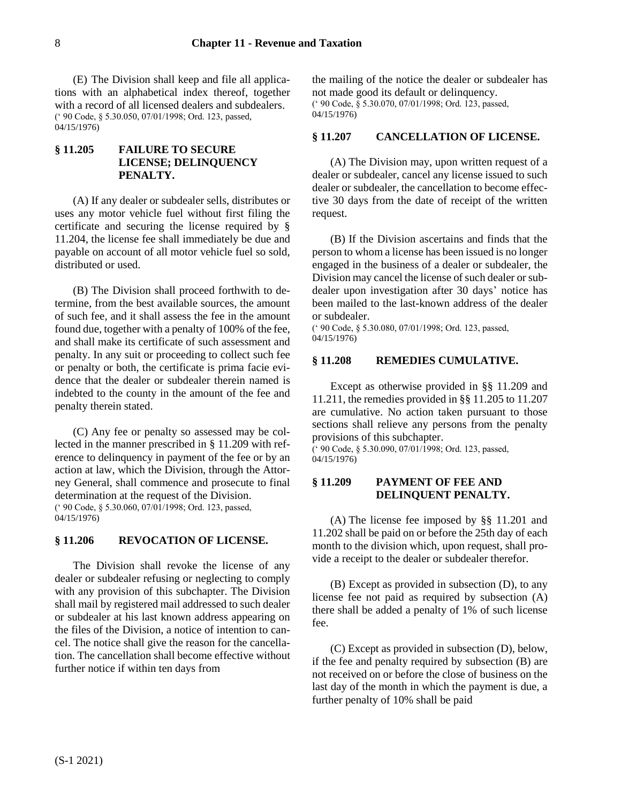(E) The Division shall keep and file all applications with an alphabetical index thereof, together with a record of all licensed dealers and subdealers. (' 90 Code, § 5.30.050, 07/01/1998; Ord. 123, passed, 04/15/1976)

# <span id="page-7-0"></span>**§ 11.205 FAILURE TO SECURE LICENSE; DELINQUENCY PENALTY.**

(A) If any dealer or subdealer sells, distributes or uses any motor vehicle fuel without first filing the certificate and securing the license required by § 11.204, the license fee shall immediately be due and payable on account of all motor vehicle fuel so sold, distributed or used.

(B) The Division shall proceed forthwith to determine, from the best available sources, the amount of such fee, and it shall assess the fee in the amount found due, together with a penalty of 100% of the fee, and shall make its certificate of such assessment and penalty. In any suit or proceeding to collect such fee or penalty or both, the certificate is prima facie evidence that the dealer or subdealer therein named is indebted to the county in the amount of the fee and penalty therein stated.

(C) Any fee or penalty so assessed may be collected in the manner prescribed in § 11.209 with reference to delinquency in payment of the fee or by an action at law, which the Division, through the Attorney General, shall commence and prosecute to final determination at the request of the Division. (' 90 Code, § 5.30.060, 07/01/1998; Ord. 123, passed, 04/15/1976)

### <span id="page-7-1"></span>**§ 11.206 REVOCATION OF LICENSE.**

The Division shall revoke the license of any dealer or subdealer refusing or neglecting to comply with any provision of this subchapter. The Division shall mail by registered mail addressed to such dealer or subdealer at his last known address appearing on the files of the Division, a notice of intention to cancel. The notice shall give the reason for the cancellation. The cancellation shall become effective without further notice if within ten days from

the mailing of the notice the dealer or subdealer has not made good its default or delinquency. (' 90 Code, § 5.30.070, 07/01/1998; Ord. 123, passed, 04/15/1976)

#### <span id="page-7-2"></span>**§ 11.207 CANCELLATION OF LICENSE.**

(A) The Division may, upon written request of a dealer or subdealer, cancel any license issued to such dealer or subdealer, the cancellation to become effective 30 days from the date of receipt of the written request.

(B) If the Division ascertains and finds that the person to whom a license has been issued is no longer engaged in the business of a dealer or subdealer, the Division may cancel the license of such dealer or subdealer upon investigation after 30 days' notice has been mailed to the last-known address of the dealer or subdealer.

(' 90 Code, § 5.30.080, 07/01/1998; Ord. 123, passed, 04/15/1976)

#### <span id="page-7-3"></span>**§ 11.208 REMEDIES CUMULATIVE.**

Except as otherwise provided in §§ 11.209 and 11.211, the remedies provided in §§ 11.205 to 11.207 are cumulative. No action taken pursuant to those sections shall relieve any persons from the penalty provisions of this subchapter.

 $($  ' 90 Code, § 5.30.090, 07/01/1998; Ord. 123, passed, 04/15/1976)

### <span id="page-7-4"></span>**§ 11.209 PAYMENT OF FEE AND DELINQUENT PENALTY.**

(A) The license fee imposed by §§ 11.201 and 11.202 shall be paid on or before the 25th day of each month to the division which, upon request, shall provide a receipt to the dealer or subdealer therefor.

(B) Except as provided in subsection (D), to any license fee not paid as required by subsection (A) there shall be added a penalty of 1% of such license fee.

(C) Except as provided in subsection (D), below, if the fee and penalty required by subsection (B) are not received on or before the close of business on the last day of the month in which the payment is due, a further penalty of 10% shall be paid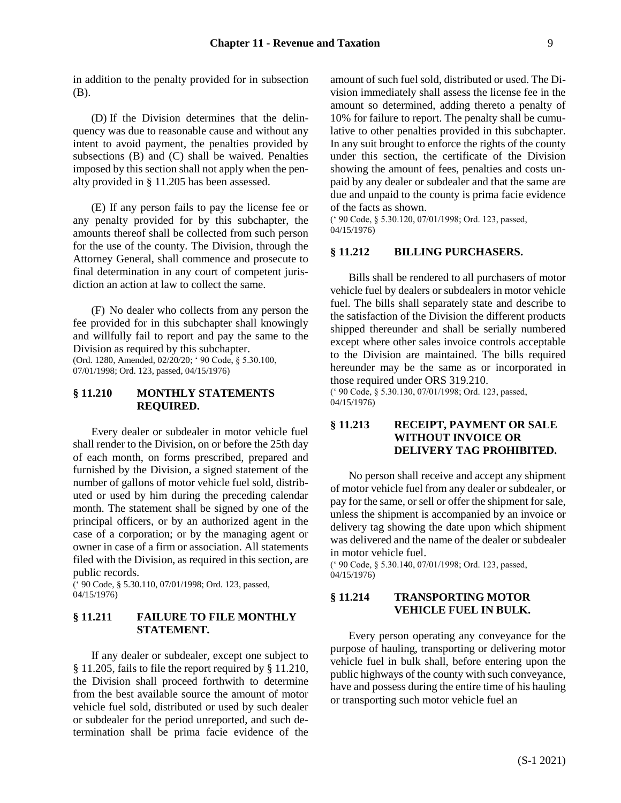in addition to the penalty provided for in subsection (B).

(D) If the Division determines that the delinquency was due to reasonable cause and without any intent to avoid payment, the penalties provided by subsections (B) and (C) shall be waived. Penalties imposed by this section shall not apply when the penalty provided in § 11.205 has been assessed.

(E) If any person fails to pay the license fee or any penalty provided for by this subchapter, the amounts thereof shall be collected from such person for the use of the county. The Division, through the Attorney General, shall commence and prosecute to final determination in any court of competent jurisdiction an action at law to collect the same.

(F) No dealer who collects from any person the fee provided for in this subchapter shall knowingly and willfully fail to report and pay the same to the Division as required by this subchapter. (Ord. 1280, Amended, 02/20/20; ' 90 Code, § 5.30.100,

07/01/1998; Ord. 123, passed, 04/15/1976)

### <span id="page-8-0"></span>**§ 11.210 MONTHLY STATEMENTS REQUIRED.**

Every dealer or subdealer in motor vehicle fuel shall render to the Division, on or before the 25th day of each month, on forms prescribed, prepared and furnished by the Division, a signed statement of the number of gallons of motor vehicle fuel sold, distributed or used by him during the preceding calendar month. The statement shall be signed by one of the principal officers, or by an authorized agent in the case of a corporation; or by the managing agent or owner in case of a firm or association. All statements filed with the Division, as required in this section, are public records.

(' 90 Code, § 5.30.110, 07/01/1998; Ord. 123, passed, 04/15/1976)

### <span id="page-8-1"></span>**§ 11.211 FAILURE TO FILE MONTHLY STATEMENT.**

If any dealer or subdealer, except one subject to § 11.205, fails to file the report required by § 11.210, the Division shall proceed forthwith to determine from the best available source the amount of motor vehicle fuel sold, distributed or used by such dealer or subdealer for the period unreported, and such determination shall be prima facie evidence of the amount of such fuel sold, distributed or used. The Division immediately shall assess the license fee in the amount so determined, adding thereto a penalty of 10% for failure to report. The penalty shall be cumulative to other penalties provided in this subchapter. In any suit brought to enforce the rights of the county under this section, the certificate of the Division showing the amount of fees, penalties and costs unpaid by any dealer or subdealer and that the same are due and unpaid to the county is prima facie evidence of the facts as shown.

(' 90 Code, § 5.30.120, 07/01/1998; Ord. 123, passed, 04/15/1976)

#### <span id="page-8-2"></span>**§ 11.212 BILLING PURCHASERS.**

Bills shall be rendered to all purchasers of motor vehicle fuel by dealers or subdealers in motor vehicle fuel. The bills shall separately state and describe to the satisfaction of the Division the different products shipped thereunder and shall be serially numbered except where other sales invoice controls acceptable to the Division are maintained. The bills required hereunder may be the same as or incorporated in those required under ORS 319.210.

(' 90 Code, § 5.30.130, 07/01/1998; Ord. 123, passed, 04/15/1976)

# <span id="page-8-3"></span>**§ 11.213 RECEIPT, PAYMENT OR SALE WITHOUT INVOICE OR DELIVERY TAG PROHIBITED.**

No person shall receive and accept any shipment of motor vehicle fuel from any dealer or subdealer, or pay for the same, or sell or offer the shipment for sale, unless the shipment is accompanied by an invoice or delivery tag showing the date upon which shipment was delivered and the name of the dealer or subdealer in motor vehicle fuel.

(' 90 Code, § 5.30.140, 07/01/1998; Ord. 123, passed, 04/15/1976)

## <span id="page-8-4"></span>**§ 11.214 TRANSPORTING MOTOR VEHICLE FUEL IN BULK.**

Every person operating any conveyance for the purpose of hauling, transporting or delivering motor vehicle fuel in bulk shall, before entering upon the public highways of the county with such conveyance, have and possess during the entire time of his hauling or transporting such motor vehicle fuel an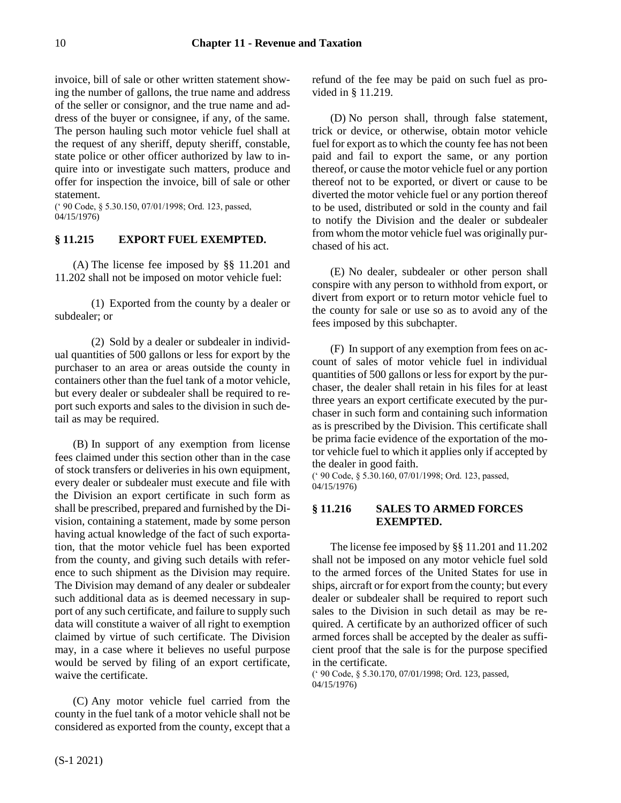invoice, bill of sale or other written statement showing the number of gallons, the true name and address of the seller or consignor, and the true name and address of the buyer or consignee, if any, of the same. The person hauling such motor vehicle fuel shall at the request of any sheriff, deputy sheriff, constable, state police or other officer authorized by law to inquire into or investigate such matters, produce and offer for inspection the invoice, bill of sale or other statement.

(' 90 Code, § 5.30.150, 07/01/1998; Ord. 123, passed, 04/15/1976)

# <span id="page-9-0"></span>**§ 11.215 EXPORT FUEL EXEMPTED.**

(A) The license fee imposed by §§ 11.201 and 11.202 shall not be imposed on motor vehicle fuel:

(1) Exported from the county by a dealer or subdealer; or

(2) Sold by a dealer or subdealer in individual quantities of 500 gallons or less for export by the purchaser to an area or areas outside the county in containers other than the fuel tank of a motor vehicle, but every dealer or subdealer shall be required to report such exports and sales to the division in such detail as may be required.

(B) In support of any exemption from license fees claimed under this section other than in the case of stock transfers or deliveries in his own equipment, every dealer or subdealer must execute and file with the Division an export certificate in such form as shall be prescribed, prepared and furnished by the Division, containing a statement, made by some person having actual knowledge of the fact of such exportation, that the motor vehicle fuel has been exported from the county, and giving such details with reference to such shipment as the Division may require. The Division may demand of any dealer or subdealer such additional data as is deemed necessary in support of any such certificate, and failure to supply such data will constitute a waiver of all right to exemption claimed by virtue of such certificate. The Division may, in a case where it believes no useful purpose would be served by filing of an export certificate, waive the certificate.

(C) Any motor vehicle fuel carried from the county in the fuel tank of a motor vehicle shall not be considered as exported from the county, except that a refund of the fee may be paid on such fuel as provided in § 11.219.

(D) No person shall, through false statement, trick or device, or otherwise, obtain motor vehicle fuel for export as to which the county fee has not been paid and fail to export the same, or any portion thereof, or cause the motor vehicle fuel or any portion thereof not to be exported, or divert or cause to be diverted the motor vehicle fuel or any portion thereof to be used, distributed or sold in the county and fail to notify the Division and the dealer or subdealer from whom the motor vehicle fuel was originally purchased of his act.

(E) No dealer, subdealer or other person shall conspire with any person to withhold from export, or divert from export or to return motor vehicle fuel to the county for sale or use so as to avoid any of the fees imposed by this subchapter.

(F) In support of any exemption from fees on account of sales of motor vehicle fuel in individual quantities of 500 gallons or less for export by the purchaser, the dealer shall retain in his files for at least three years an export certificate executed by the purchaser in such form and containing such information as is prescribed by the Division. This certificate shall be prima facie evidence of the exportation of the motor vehicle fuel to which it applies only if accepted by the dealer in good faith.

(' 90 Code, § 5.30.160, 07/01/1998; Ord. 123, passed, 04/15/1976)

# <span id="page-9-1"></span>**§ 11.216 SALES TO ARMED FORCES EXEMPTED.**

The license fee imposed by §§ 11.201 and 11.202 shall not be imposed on any motor vehicle fuel sold to the armed forces of the United States for use in ships, aircraft or for export from the county; but every dealer or subdealer shall be required to report such sales to the Division in such detail as may be required. A certificate by an authorized officer of such armed forces shall be accepted by the dealer as sufficient proof that the sale is for the purpose specified in the certificate.

(' 90 Code, § 5.30.170, 07/01/1998; Ord. 123, passed, 04/15/1976)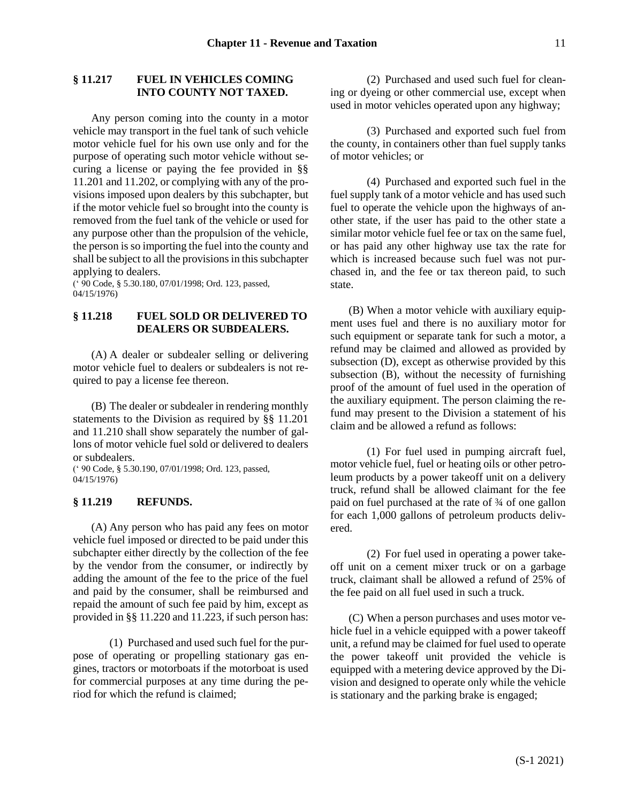## <span id="page-10-0"></span>**§ 11.217 FUEL IN VEHICLES COMING INTO COUNTY NOT TAXED.**

Any person coming into the county in a motor vehicle may transport in the fuel tank of such vehicle motor vehicle fuel for his own use only and for the purpose of operating such motor vehicle without securing a license or paying the fee provided in §§ 11.201 and 11.202, or complying with any of the provisions imposed upon dealers by this subchapter, but if the motor vehicle fuel so brought into the county is removed from the fuel tank of the vehicle or used for any purpose other than the propulsion of the vehicle, the person is so importing the fuel into the county and shall be subject to all the provisions in this subchapter applying to dealers.

(' 90 Code, § 5.30.180, 07/01/1998; Ord. 123, passed, 04/15/1976)

### <span id="page-10-1"></span>**§ 11.218 FUEL SOLD OR DELIVERED TO DEALERS OR SUBDEALERS.**

(A) A dealer or subdealer selling or delivering motor vehicle fuel to dealers or subdealers is not required to pay a license fee thereon.

(B) The dealer or subdealer in rendering monthly statements to the Division as required by §§ 11.201 and 11.210 shall show separately the number of gallons of motor vehicle fuel sold or delivered to dealers or subdealers.

(' 90 Code, § 5.30.190, 07/01/1998; Ord. 123, passed, 04/15/1976)

# <span id="page-10-2"></span>**§ 11.219 REFUNDS.**

(A) Any person who has paid any fees on motor vehicle fuel imposed or directed to be paid under this subchapter either directly by the collection of the fee by the vendor from the consumer, or indirectly by adding the amount of the fee to the price of the fuel and paid by the consumer, shall be reimbursed and repaid the amount of such fee paid by him, except as provided in §§ 11.220 and 11.223, if such person has:

(1) Purchased and used such fuel for the purpose of operating or propelling stationary gas engines, tractors or motorboats if the motorboat is used for commercial purposes at any time during the period for which the refund is claimed;

(2) Purchased and used such fuel for cleaning or dyeing or other commercial use, except when used in motor vehicles operated upon any highway;

(3) Purchased and exported such fuel from the county, in containers other than fuel supply tanks of motor vehicles; or

(4) Purchased and exported such fuel in the fuel supply tank of a motor vehicle and has used such fuel to operate the vehicle upon the highways of another state, if the user has paid to the other state a similar motor vehicle fuel fee or tax on the same fuel, or has paid any other highway use tax the rate for which is increased because such fuel was not purchased in, and the fee or tax thereon paid, to such state.

(B) When a motor vehicle with auxiliary equipment uses fuel and there is no auxiliary motor for such equipment or separate tank for such a motor, a refund may be claimed and allowed as provided by subsection (D), except as otherwise provided by this subsection (B), without the necessity of furnishing proof of the amount of fuel used in the operation of the auxiliary equipment. The person claiming the refund may present to the Division a statement of his claim and be allowed a refund as follows:

(1) For fuel used in pumping aircraft fuel, motor vehicle fuel, fuel or heating oils or other petroleum products by a power takeoff unit on a delivery truck, refund shall be allowed claimant for the fee paid on fuel purchased at the rate of ¾ of one gallon for each 1,000 gallons of petroleum products delivered.

(2) For fuel used in operating a power takeoff unit on a cement mixer truck or on a garbage truck, claimant shall be allowed a refund of 25% of the fee paid on all fuel used in such a truck.

(C) When a person purchases and uses motor vehicle fuel in a vehicle equipped with a power takeoff unit, a refund may be claimed for fuel used to operate the power takeoff unit provided the vehicle is equipped with a metering device approved by the Division and designed to operate only while the vehicle is stationary and the parking brake is engaged;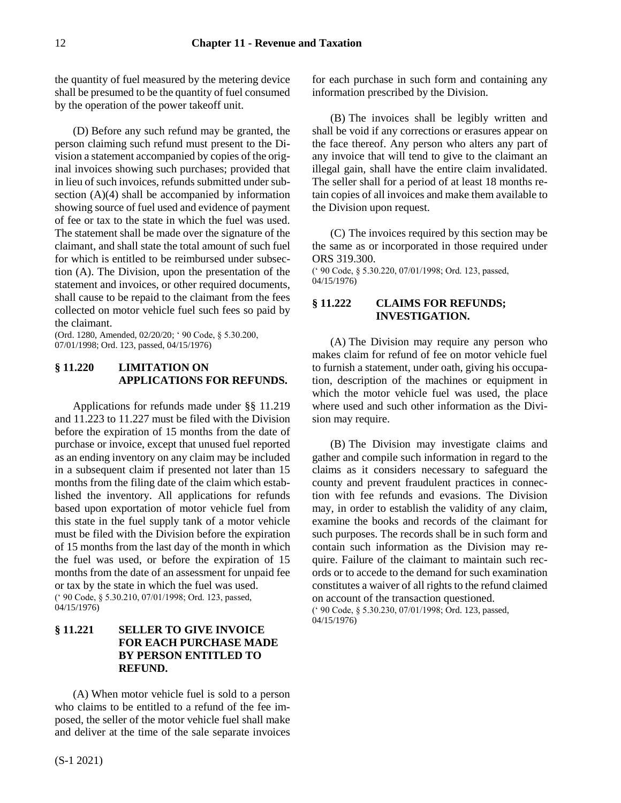the quantity of fuel measured by the metering device shall be presumed to be the quantity of fuel consumed by the operation of the power takeoff unit.

(D) Before any such refund may be granted, the person claiming such refund must present to the Division a statement accompanied by copies of the original invoices showing such purchases; provided that in lieu of such invoices, refunds submitted under subsection (A)(4) shall be accompanied by information showing source of fuel used and evidence of payment of fee or tax to the state in which the fuel was used. The statement shall be made over the signature of the claimant, and shall state the total amount of such fuel for which is entitled to be reimbursed under subsection (A). The Division, upon the presentation of the statement and invoices, or other required documents, shall cause to be repaid to the claimant from the fees collected on motor vehicle fuel such fees so paid by the claimant.

(Ord. 1280, Amended, 02/20/20; ' 90 Code, § 5.30.200, 07/01/1998; Ord. 123, passed, 04/15/1976)

# <span id="page-11-0"></span>**§ 11.220 LIMITATION ON APPLICATIONS FOR REFUNDS.**

Applications for refunds made under §§ 11.219 and 11.223 to 11.227 must be filed with the Division before the expiration of 15 months from the date of purchase or invoice, except that unused fuel reported as an ending inventory on any claim may be included in a subsequent claim if presented not later than 15 months from the filing date of the claim which established the inventory. All applications for refunds based upon exportation of motor vehicle fuel from this state in the fuel supply tank of a motor vehicle must be filed with the Division before the expiration of 15 months from the last day of the month in which the fuel was used, or before the expiration of 15 months from the date of an assessment for unpaid fee or tax by the state in which the fuel was used. (' 90 Code, § 5.30.210, 07/01/1998; Ord. 123, passed, 04/15/1976)

# <span id="page-11-1"></span>**§ 11.221 SELLER TO GIVE INVOICE FOR EACH PURCHASE MADE BY PERSON ENTITLED TO REFUND.**

(A) When motor vehicle fuel is sold to a person who claims to be entitled to a refund of the fee imposed, the seller of the motor vehicle fuel shall make and deliver at the time of the sale separate invoices

for each purchase in such form and containing any information prescribed by the Division.

(B) The invoices shall be legibly written and shall be void if any corrections or erasures appear on the face thereof. Any person who alters any part of any invoice that will tend to give to the claimant an illegal gain, shall have the entire claim invalidated. The seller shall for a period of at least 18 months retain copies of all invoices and make them available to the Division upon request.

(C) The invoices required by this section may be the same as or incorporated in those required under ORS 319.300.

(' 90 Code, § 5.30.220, 07/01/1998; Ord. 123, passed, 04/15/1976)

# <span id="page-11-2"></span>**§ 11.222 CLAIMS FOR REFUNDS; INVESTIGATION.**

(A) The Division may require any person who makes claim for refund of fee on motor vehicle fuel to furnish a statement, under oath, giving his occupation, description of the machines or equipment in which the motor vehicle fuel was used, the place where used and such other information as the Division may require.

(B) The Division may investigate claims and gather and compile such information in regard to the claims as it considers necessary to safeguard the county and prevent fraudulent practices in connection with fee refunds and evasions. The Division may, in order to establish the validity of any claim, examine the books and records of the claimant for such purposes. The records shall be in such form and contain such information as the Division may require. Failure of the claimant to maintain such records or to accede to the demand for such examination constitutes a waiver of all rights to the refund claimed on account of the transaction questioned.

(' 90 Code, § 5.30.230, 07/01/1998; Ord. 123, passed, 04/15/1976)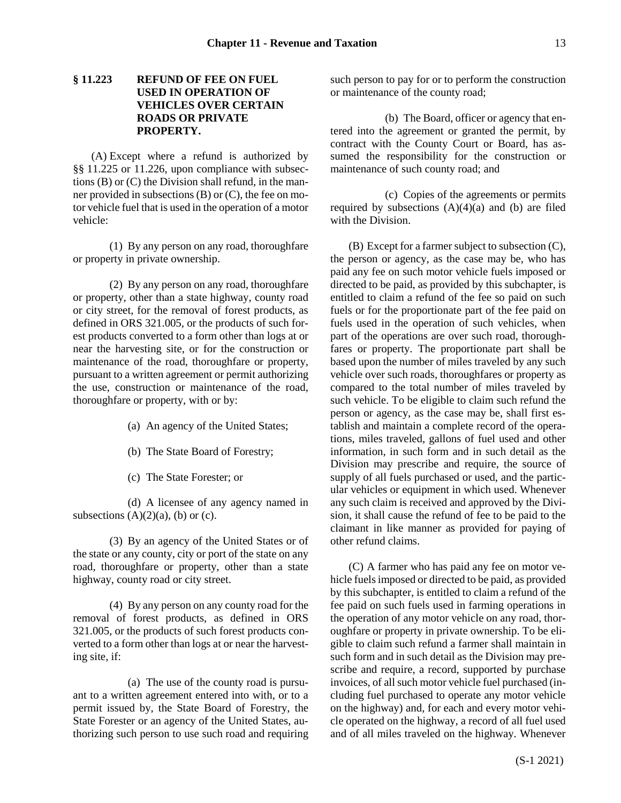# <span id="page-12-0"></span>**§ 11.223 REFUND OF FEE ON FUEL USED IN OPERATION OF VEHICLES OVER CERTAIN ROADS OR PRIVATE PROPERTY.**

(A) Except where a refund is authorized by §§ 11.225 or 11.226, upon compliance with subsections (B) or (C) the Division shall refund, in the manner provided in subsections  $(B)$  or  $(C)$ , the fee on motor vehicle fuel that is used in the operation of a motor vehicle:

(1) By any person on any road, thoroughfare or property in private ownership.

(2) By any person on any road, thoroughfare or property, other than a state highway, county road or city street, for the removal of forest products, as defined in ORS 321.005, or the products of such forest products converted to a form other than logs at or near the harvesting site, or for the construction or maintenance of the road, thoroughfare or property, pursuant to a written agreement or permit authorizing the use, construction or maintenance of the road, thoroughfare or property, with or by:

- (a) An agency of the United States;
- (b) The State Board of Forestry;
- (c) The State Forester; or

(d) A licensee of any agency named in subsections  $(A)(2)(a)$ ,  $(b)$  or  $(c)$ .

(3) By an agency of the United States or of the state or any county, city or port of the state on any road, thoroughfare or property, other than a state highway, county road or city street.

(4) By any person on any county road for the removal of forest products, as defined in ORS 321.005, or the products of such forest products converted to a form other than logs at or near the harvesting site, if:

(a) The use of the county road is pursuant to a written agreement entered into with, or to a permit issued by, the State Board of Forestry, the State Forester or an agency of the United States, authorizing such person to use such road and requiring such person to pay for or to perform the construction or maintenance of the county road;

(b) The Board, officer or agency that entered into the agreement or granted the permit, by contract with the County Court or Board, has assumed the responsibility for the construction or maintenance of such county road; and

(c) Copies of the agreements or permits required by subsections  $(A)(4)(a)$  and  $(b)$  are filed with the Division.

(B) Except for a farmer subject to subsection (C), the person or agency, as the case may be, who has paid any fee on such motor vehicle fuels imposed or directed to be paid, as provided by this subchapter, is entitled to claim a refund of the fee so paid on such fuels or for the proportionate part of the fee paid on fuels used in the operation of such vehicles, when part of the operations are over such road, thoroughfares or property. The proportionate part shall be based upon the number of miles traveled by any such vehicle over such roads, thoroughfares or property as compared to the total number of miles traveled by such vehicle. To be eligible to claim such refund the person or agency, as the case may be, shall first establish and maintain a complete record of the operations, miles traveled, gallons of fuel used and other information, in such form and in such detail as the Division may prescribe and require, the source of supply of all fuels purchased or used, and the particular vehicles or equipment in which used. Whenever any such claim is received and approved by the Division, it shall cause the refund of fee to be paid to the claimant in like manner as provided for paying of other refund claims.

(C) A farmer who has paid any fee on motor vehicle fuels imposed or directed to be paid, as provided by this subchapter, is entitled to claim a refund of the fee paid on such fuels used in farming operations in the operation of any motor vehicle on any road, thoroughfare or property in private ownership. To be eligible to claim such refund a farmer shall maintain in such form and in such detail as the Division may prescribe and require, a record, supported by purchase invoices, of all such motor vehicle fuel purchased (including fuel purchased to operate any motor vehicle on the highway) and, for each and every motor vehicle operated on the highway, a record of all fuel used and of all miles traveled on the highway. Whenever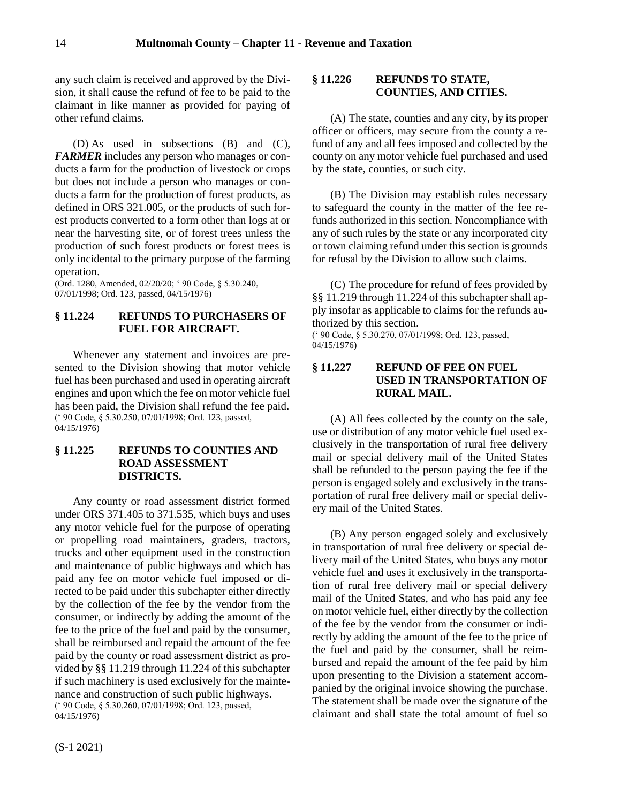any such claim is received and approved by the Division, it shall cause the refund of fee to be paid to the claimant in like manner as provided for paying of other refund claims.

(D) As used in subsections (B) and (C), *FARMER* includes any person who manages or conducts a farm for the production of livestock or crops but does not include a person who manages or conducts a farm for the production of forest products, as defined in ORS 321.005, or the products of such forest products converted to a form other than logs at or near the harvesting site, or of forest trees unless the production of such forest products or forest trees is only incidental to the primary purpose of the farming operation.

(Ord. 1280, Amended, 02/20/20; ' 90 Code, § 5.30.240, 07/01/1998; Ord. 123, passed, 04/15/1976)

# <span id="page-13-0"></span>**§ 11.224 REFUNDS TO PURCHASERS OF FUEL FOR AIRCRAFT.**

Whenever any statement and invoices are presented to the Division showing that motor vehicle fuel has been purchased and used in operating aircraft engines and upon which the fee on motor vehicle fuel has been paid, the Division shall refund the fee paid. (' 90 Code, § 5.30.250, 07/01/1998; Ord. 123, passed, 04/15/1976)

### <span id="page-13-1"></span>**§ 11.225 REFUNDS TO COUNTIES AND ROAD ASSESSMENT DISTRICTS.**

Any county or road assessment district formed under ORS 371.405 to 371.535, which buys and uses any motor vehicle fuel for the purpose of operating or propelling road maintainers, graders, tractors, trucks and other equipment used in the construction and maintenance of public highways and which has paid any fee on motor vehicle fuel imposed or directed to be paid under this subchapter either directly by the collection of the fee by the vendor from the consumer, or indirectly by adding the amount of the fee to the price of the fuel and paid by the consumer, shall be reimbursed and repaid the amount of the fee paid by the county or road assessment district as provided by §§ 11.219 through 11.224 of this subchapter if such machinery is used exclusively for the maintenance and construction of such public highways. (' 90 Code, § 5.30.260, 07/01/1998; Ord. 123, passed, 04/15/1976)

<span id="page-13-2"></span>(A) The state, counties and any city, by its proper officer or officers, may secure from the county a refund of any and all fees imposed and collected by the county on any motor vehicle fuel purchased and used by the state, counties, or such city.

(B) The Division may establish rules necessary to safeguard the county in the matter of the fee refunds authorized in this section. Noncompliance with any of such rules by the state or any incorporated city or town claiming refund under this section is grounds for refusal by the Division to allow such claims.

(C) The procedure for refund of fees provided by §§ 11.219 through 11.224 of this subchapter shall apply insofar as applicable to claims for the refunds authorized by this section.

(' 90 Code, § 5.30.270, 07/01/1998; Ord. 123, passed, 04/15/1976)

# <span id="page-13-3"></span>**§ 11.227 REFUND OF FEE ON FUEL USED IN TRANSPORTATION OF RURAL MAIL.**

(A) All fees collected by the county on the sale, use or distribution of any motor vehicle fuel used exclusively in the transportation of rural free delivery mail or special delivery mail of the United States shall be refunded to the person paying the fee if the person is engaged solely and exclusively in the transportation of rural free delivery mail or special delivery mail of the United States.

(B) Any person engaged solely and exclusively in transportation of rural free delivery or special delivery mail of the United States, who buys any motor vehicle fuel and uses it exclusively in the transportation of rural free delivery mail or special delivery mail of the United States, and who has paid any fee on motor vehicle fuel, either directly by the collection of the fee by the vendor from the consumer or indirectly by adding the amount of the fee to the price of the fuel and paid by the consumer, shall be reimbursed and repaid the amount of the fee paid by him upon presenting to the Division a statement accompanied by the original invoice showing the purchase. The statement shall be made over the signature of the claimant and shall state the total amount of fuel so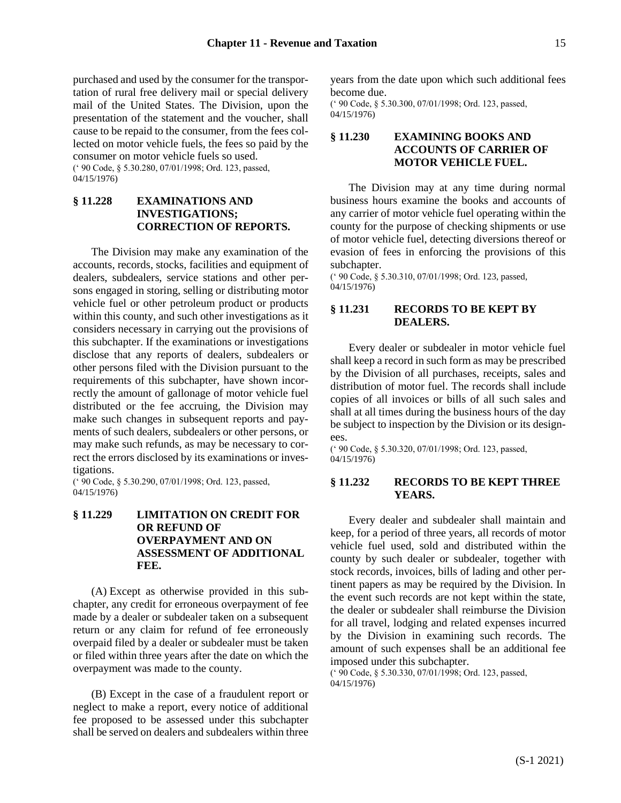purchased and used by the consumer for the transportation of rural free delivery mail or special delivery mail of the United States. The Division, upon the presentation of the statement and the voucher, shall cause to be repaid to the consumer, from the fees collected on motor vehicle fuels, the fees so paid by the consumer on motor vehicle fuels so used. (' 90 Code, § 5.30.280, 07/01/1998; Ord. 123, passed, 04/15/1976)

# <span id="page-14-0"></span>**§ 11.228 EXAMINATIONS AND INVESTIGATIONS; CORRECTION OF REPORTS.**

The Division may make any examination of the accounts, records, stocks, facilities and equipment of dealers, subdealers, service stations and other persons engaged in storing, selling or distributing motor vehicle fuel or other petroleum product or products within this county, and such other investigations as it considers necessary in carrying out the provisions of this subchapter. If the examinations or investigations disclose that any reports of dealers, subdealers or other persons filed with the Division pursuant to the requirements of this subchapter, have shown incorrectly the amount of gallonage of motor vehicle fuel distributed or the fee accruing, the Division may make such changes in subsequent reports and payments of such dealers, subdealers or other persons, or may make such refunds, as may be necessary to correct the errors disclosed by its examinations or investigations.

(' 90 Code, § 5.30.290, 07/01/1998; Ord. 123, passed, 04/15/1976)

# <span id="page-14-1"></span>**§ 11.229 LIMITATION ON CREDIT FOR OR REFUND OF OVERPAYMENT AND ON ASSESSMENT OF ADDITIONAL FEE.**

(A) Except as otherwise provided in this subchapter, any credit for erroneous overpayment of fee made by a dealer or subdealer taken on a subsequent return or any claim for refund of fee erroneously overpaid filed by a dealer or subdealer must be taken or filed within three years after the date on which the overpayment was made to the county.

(B) Except in the case of a fraudulent report or neglect to make a report, every notice of additional fee proposed to be assessed under this subchapter shall be served on dealers and subdealers within three years from the date upon which such additional fees become due.

(' 90 Code, § 5.30.300, 07/01/1998; Ord. 123, passed, 04/15/1976)

# <span id="page-14-2"></span>**§ 11.230 EXAMINING BOOKS AND ACCOUNTS OF CARRIER OF MOTOR VEHICLE FUEL.**

The Division may at any time during normal business hours examine the books and accounts of any carrier of motor vehicle fuel operating within the county for the purpose of checking shipments or use of motor vehicle fuel, detecting diversions thereof or evasion of fees in enforcing the provisions of this subchapter.

(' 90 Code, § 5.30.310, 07/01/1998; Ord. 123, passed, 04/15/1976)

# <span id="page-14-3"></span>**§ 11.231 RECORDS TO BE KEPT BY DEALERS.**

Every dealer or subdealer in motor vehicle fuel shall keep a record in such form as may be prescribed by the Division of all purchases, receipts, sales and distribution of motor fuel. The records shall include copies of all invoices or bills of all such sales and shall at all times during the business hours of the day be subject to inspection by the Division or its designees.

(' 90 Code, § 5.30.320, 07/01/1998; Ord. 123, passed, 04/15/1976)

### <span id="page-14-4"></span>**§ 11.232 RECORDS TO BE KEPT THREE YEARS.**

Every dealer and subdealer shall maintain and keep, for a period of three years, all records of motor vehicle fuel used, sold and distributed within the county by such dealer or subdealer, together with stock records, invoices, bills of lading and other pertinent papers as may be required by the Division. In the event such records are not kept within the state, the dealer or subdealer shall reimburse the Division for all travel, lodging and related expenses incurred by the Division in examining such records. The amount of such expenses shall be an additional fee imposed under this subchapter.

(' 90 Code, § 5.30.330, 07/01/1998; Ord. 123, passed, 04/15/1976)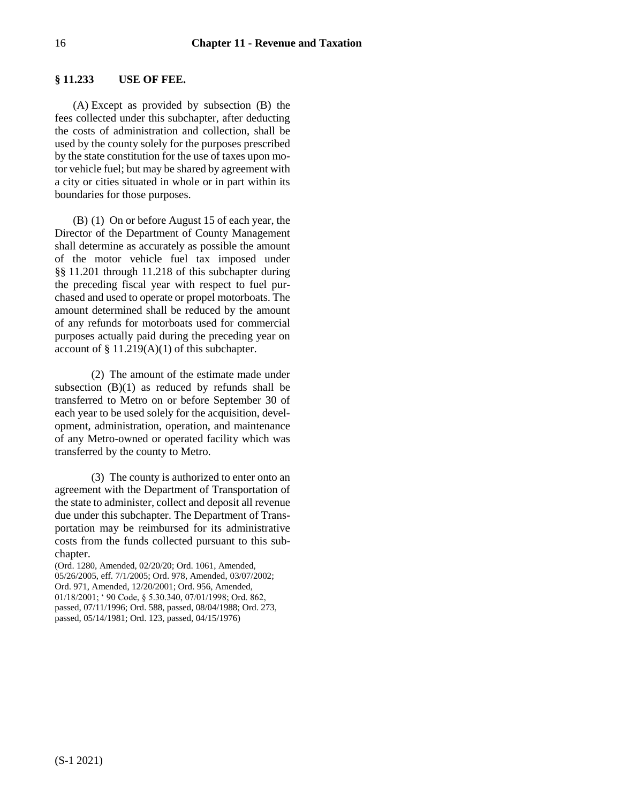### <span id="page-15-0"></span>**§ 11.233 USE OF FEE.**

(A) Except as provided by subsection (B) the fees collected under this subchapter, after deducting the costs of administration and collection, shall be used by the county solely for the purposes prescribed by the state constitution for the use of taxes upon motor vehicle fuel; but may be shared by agreement with a city or cities situated in whole or in part within its boundaries for those purposes.

(B) (1) On or before August 15 of each year, the Director of the Department of County Management shall determine as accurately as possible the amount of the motor vehicle fuel tax imposed under §§ 11.201 through 11.218 of this subchapter during the preceding fiscal year with respect to fuel purchased and used to operate or propel motorboats. The amount determined shall be reduced by the amount of any refunds for motorboats used for commercial purposes actually paid during the preceding year on account of  $\S$  11.219(A)(1) of this subchapter.

(2) The amount of the estimate made under subsection  $(B)(1)$  as reduced by refunds shall be transferred to Metro on or before September 30 of each year to be used solely for the acquisition, development, administration, operation, and maintenance of any Metro-owned or operated facility which was transferred by the county to Metro.

(3) The county is authorized to enter onto an agreement with the Department of Transportation of the state to administer, collect and deposit all revenue due under this subchapter. The Department of Transportation may be reimbursed for its administrative costs from the funds collected pursuant to this subchapter.

(Ord. 1280, Amended, 02/20/20; Ord. 1061, Amended, 05/26/2005, eff. 7/1/2005; Ord. 978, Amended, 03/07/2002; Ord. 971, Amended, 12/20/2001; Ord. 956, Amended, 01/18/2001; ' 90 Code, § 5.30.340, 07/01/1998; Ord. 862, passed, 07/11/1996; Ord. 588, passed, 08/04/1988; Ord. 273, passed, 05/14/1981; Ord. 123, passed, 04/15/1976)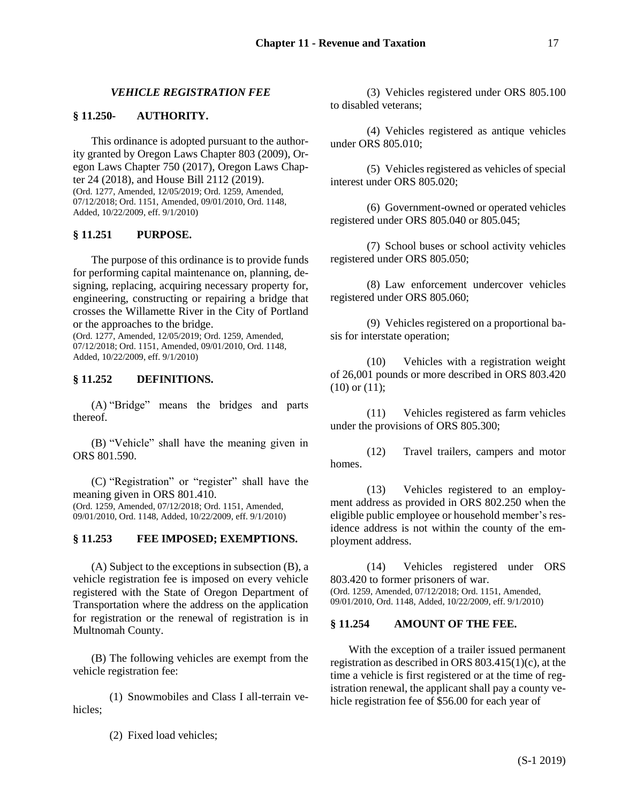# *VEHICLE REGISTRATION FEE*

### <span id="page-16-1"></span><span id="page-16-0"></span>**§ 11.250- AUTHORITY.**

This ordinance is adopted pursuant to the authority granted by Oregon Laws Chapter 803 (2009), Oregon Laws Chapter 750 (2017), Oregon Laws Chapter 24 (2018), and House Bill 2112 (2019). (Ord. 1277, Amended, 12/05/2019; Ord. 1259, Amended, 07/12/2018; Ord. 1151, Amended, 09/01/2010, Ord. 1148, Added, 10/22/2009, eff. 9/1/2010)

# <span id="page-16-2"></span>**§ 11.251 PURPOSE.**

The purpose of this ordinance is to provide funds for performing capital maintenance on, planning, designing, replacing, acquiring necessary property for, engineering, constructing or repairing a bridge that crosses the Willamette River in the City of Portland or the approaches to the bridge.

(Ord. 1277, Amended, 12/05/2019; Ord. 1259, Amended, 07/12/2018; Ord. 1151, Amended, 09/01/2010, Ord. 1148, Added, 10/22/2009, eff. 9/1/2010)

# <span id="page-16-3"></span>**§ 11.252 DEFINITIONS.**

(A) "Bridge" means the bridges and parts thereof.

(B) "Vehicle" shall have the meaning given in ORS 801.590.

(C) "Registration" or "register" shall have the meaning given in ORS 801.410. (Ord. 1259, Amended, 07/12/2018; Ord. 1151, Amended, 09/01/2010, Ord. 1148, Added, 10/22/2009, eff. 9/1/2010)

### <span id="page-16-4"></span>**§ 11.253 FEE IMPOSED; EXEMPTIONS.**

(A) Subject to the exceptions in subsection (B), a vehicle registration fee is imposed on every vehicle registered with the State of Oregon Department of Transportation where the address on the application for registration or the renewal of registration is in Multnomah County.

(B) The following vehicles are exempt from the vehicle registration fee:

(1) Snowmobiles and Class I all-terrain vehicles;

(2) Fixed load vehicles;

(3) Vehicles registered under ORS 805.100 to disabled veterans;

(4) Vehicles registered as antique vehicles under ORS 805.010;

(5) Vehicles registered as vehicles of special interest under ORS 805.020;

(6) Government-owned or operated vehicles registered under ORS 805.040 or 805.045;

(7) School buses or school activity vehicles registered under ORS 805.050;

(8) Law enforcement undercover vehicles registered under ORS 805.060;

(9) Vehicles registered on a proportional basis for interstate operation;

(10) Vehicles with a registration weight of 26,001 pounds or more described in ORS 803.420  $(10)$  or  $(11)$ ;

(11) Vehicles registered as farm vehicles under the provisions of ORS 805.300;

(12) Travel trailers, campers and motor homes.

(13) Vehicles registered to an employment address as provided in ORS 802.250 when the eligible public employee or household member's residence address is not within the county of the employment address.

(14) Vehicles registered under ORS 803.420 to former prisoners of war. (Ord. 1259, Amended, 07/12/2018; Ord. 1151, Amended, 09/01/2010, Ord. 1148, Added, 10/22/2009, eff. 9/1/2010)

# <span id="page-16-5"></span>**§ 11.254 AMOUNT OF THE FEE.**

With the exception of a trailer issued permanent registration as described in ORS 803.415(1)(c), at the time a vehicle is first registered or at the time of registration renewal, the applicant shall pay a county vehicle registration fee of \$56.00 for each year of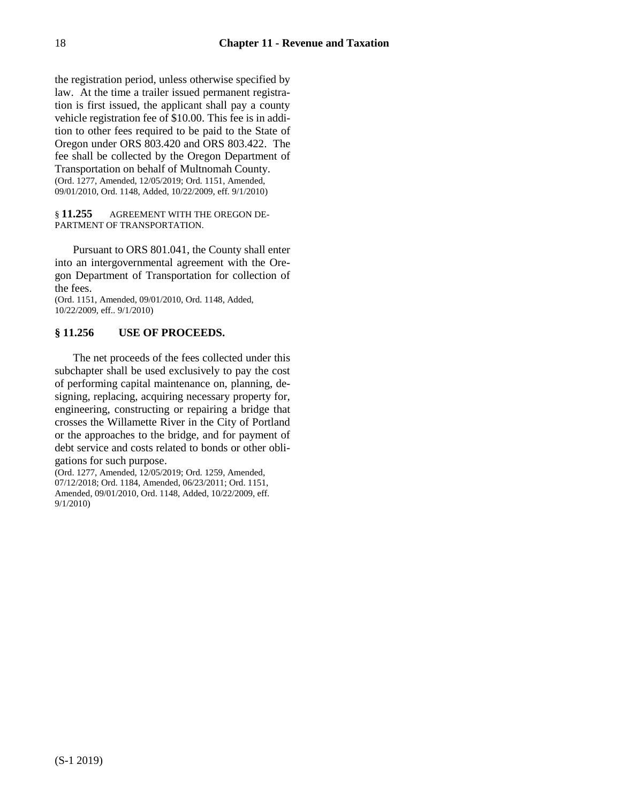the registration period, unless otherwise specified by law. At the time a trailer issued permanent registration is first issued, the applicant shall pay a county vehicle registration fee of \$10.00. This fee is in addition to other fees required to be paid to the State of Oregon under ORS 803.420 and ORS 803.422. The fee shall be collected by the Oregon Department of Transportation on behalf of Multnomah County. (Ord. 1277, Amended, 12/05/2019; Ord. 1151, Amended, 09/01/2010, Ord. 1148, Added, 10/22/2009, eff. 9/1/2010)

#### <span id="page-17-0"></span>§ **11.255** AGREEMENT WITH THE OREGON DE-PARTMENT OF TRANSPORTATION.

Pursuant to ORS 801.041, the County shall enter into an intergovernmental agreement with the Oregon Department of Transportation for collection of the fees.

(Ord. 1151, Amended, 09/01/2010, Ord. 1148, Added, 10/22/2009, eff.. 9/1/2010)

# <span id="page-17-1"></span>**§ 11.256 USE OF PROCEEDS.**

The net proceeds of the fees collected under this subchapter shall be used exclusively to pay the cost of performing capital maintenance on, planning, designing, replacing, acquiring necessary property for, engineering, constructing or repairing a bridge that crosses the Willamette River in the City of Portland or the approaches to the bridge, and for payment of debt service and costs related to bonds or other obligations for such purpose.

(Ord. 1277, Amended, 12/05/2019; Ord. 1259, Amended, 07/12/2018; Ord. 1184, Amended, 06/23/2011; Ord. 1151, Amended, 09/01/2010, Ord. 1148, Added, 10/22/2009, eff. 9/1/2010)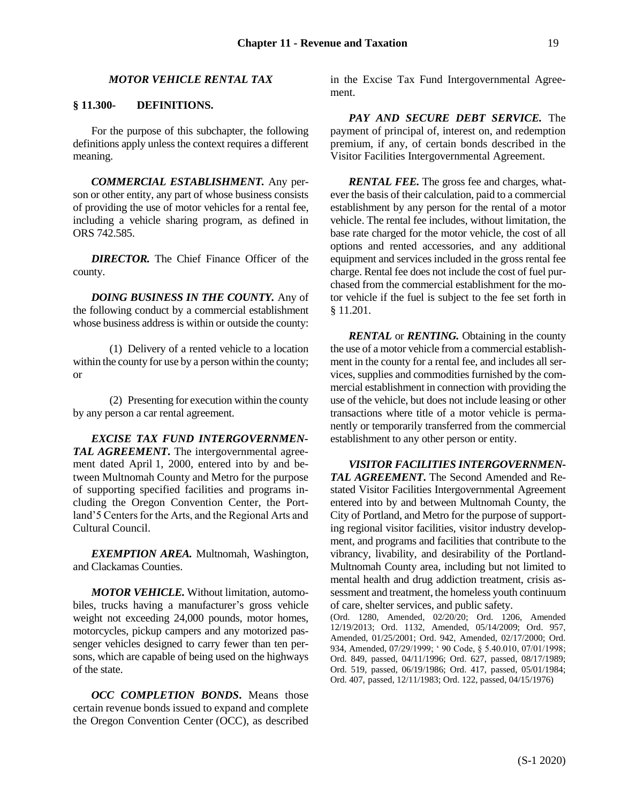### *MOTOR VEHICLE RENTAL TAX*

### <span id="page-18-1"></span><span id="page-18-0"></span>**§ 11.300- DEFINITIONS.**

For the purpose of this subchapter, the following definitions apply unless the context requires a different meaning.

*COMMERCIAL ESTABLISHMENT.* Any person or other entity, any part of whose business consists of providing the use of motor vehicles for a rental fee, including a vehicle sharing program, as defined in ORS 742.585.

*DIRECTOR.* The Chief Finance Officer of the county.

*DOING BUSINESS IN THE COUNTY.* Any of the following conduct by a commercial establishment whose business address is within or outside the county:

(1) Delivery of a rented vehicle to a location within the county for use by a person within the county; or

(2) Presenting for execution within the county by any person a car rental agreement.

*EXCISE TAX FUND INTERGOVERNMEN-TAL AGREEMENT***.** The intergovernmental agreement dated April 1, 2000, entered into by and between Multnomah County and Metro for the purpose of supporting specified facilities and programs including the Oregon Convention Center, the Portland'5 Centers for the Arts, and the Regional Arts and Cultural Council.

*EXEMPTION AREA.* Multnomah, Washington, and Clackamas Counties.

*MOTOR VEHICLE.* Without limitation, automobiles, trucks having a manufacturer's gross vehicle weight not exceeding 24,000 pounds, motor homes, motorcycles, pickup campers and any motorized passenger vehicles designed to carry fewer than ten persons, which are capable of being used on the highways of the state.

*OCC COMPLETION BONDS***.** Means those certain revenue bonds issued to expand and complete the Oregon Convention Center (OCC), as described in the Excise Tax Fund Intergovernmental Agreement.

*PAY AND SECURE DEBT SERVICE.* The payment of principal of, interest on, and redemption premium, if any, of certain bonds described in the Visitor Facilities Intergovernmental Agreement.

*RENTAL FEE.* The gross fee and charges, whatever the basis of their calculation, paid to a commercial establishment by any person for the rental of a motor vehicle. The rental fee includes, without limitation, the base rate charged for the motor vehicle, the cost of all options and rented accessories, and any additional equipment and services included in the gross rental fee charge. Rental fee does not include the cost of fuel purchased from the commercial establishment for the motor vehicle if the fuel is subject to the fee set forth in § 11.201.

*RENTAL* or *RENTING.* Obtaining in the county the use of a motor vehicle from a commercial establishment in the county for a rental fee, and includes all services, supplies and commodities furnished by the commercial establishment in connection with providing the use of the vehicle, but does not include leasing or other transactions where title of a motor vehicle is permanently or temporarily transferred from the commercial establishment to any other person or entity.

*VISITOR FACILITIES INTERGOVERNMEN-TAL AGREEMENT***.** The Second Amended and Restated Visitor Facilities Intergovernmental Agreement entered into by and between Multnomah County, the City of Portland, and Metro for the purpose of supporting regional visitor facilities, visitor industry development, and programs and facilities that contribute to the vibrancy, livability, and desirability of the Portland-Multnomah County area, including but not limited to mental health and drug addiction treatment, crisis assessment and treatment, the homeless youth continuum of care, shelter services, and public safety.

(Ord. 1280, Amended, 02/20/20; Ord. 1206, Amended 12/19/2013; Ord. 1132, Amended, 05/14/2009; Ord. 957, Amended, 01/25/2001; Ord. 942, Amended, 02/17/2000; Ord. 934, Amended, 07/29/1999; ' 90 Code, § 5.40.010, 07/01/1998; Ord. 849, passed, 04/11/1996; Ord. 627, passed, 08/17/1989; Ord. 519, passed, 06/19/1986; Ord. 417, passed, 05/01/1984; Ord. 407, passed, 12/11/1983; Ord. 122, passed, 04/15/1976)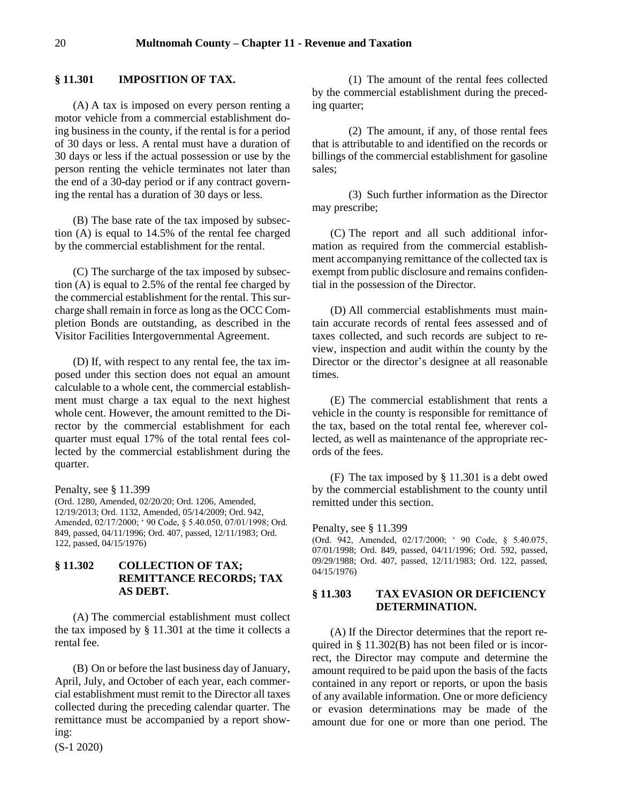### <span id="page-19-0"></span>**§ 11.301 IMPOSITION OF TAX.**

(A) A tax is imposed on every person renting a motor vehicle from a commercial establishment doing business in the county, if the rental is for a period of 30 days or less. A rental must have a duration of 30 days or less if the actual possession or use by the person renting the vehicle terminates not later than the end of a 30-day period or if any contract governing the rental has a duration of 30 days or less.

(B) The base rate of the tax imposed by subsection (A) is equal to 14.5% of the rental fee charged by the commercial establishment for the rental.

(C) The surcharge of the tax imposed by subsection (A) is equal to 2.5% of the rental fee charged by the commercial establishment for the rental. This surcharge shall remain in force as long as the OCC Completion Bonds are outstanding, as described in the Visitor Facilities Intergovernmental Agreement.

(D) If, with respect to any rental fee, the tax imposed under this section does not equal an amount calculable to a whole cent, the commercial establishment must charge a tax equal to the next highest whole cent. However, the amount remitted to the Director by the commercial establishment for each quarter must equal 17% of the total rental fees collected by the commercial establishment during the quarter.

Penalty, see § 11.399

(Ord. 1280, Amended, 02/20/20; Ord. 1206, Amended, 12/19/2013; Ord. 1132, Amended, 05/14/2009; Ord. 942, Amended, 02/17/2000; ' 90 Code, § 5.40.050, 07/01/1998; Ord. 849, passed, 04/11/1996; Ord. 407, passed, 12/11/1983; Ord. 122, passed, 04/15/1976)

# <span id="page-19-1"></span>**§ 11.302 COLLECTION OF TAX; REMITTANCE RECORDS; TAX AS DEBT.**

(A) The commercial establishment must collect the tax imposed by § 11.301 at the time it collects a rental fee.

(B) On or before the last business day of January, April, July, and October of each year, each commercial establishment must remit to the Director all taxes collected during the preceding calendar quarter. The remittance must be accompanied by a report showing:

(S-1 2020)

(1) The amount of the rental fees collected by the commercial establishment during the preceding quarter;

(2) The amount, if any, of those rental fees that is attributable to and identified on the records or billings of the commercial establishment for gasoline sales;

(3) Such further information as the Director may prescribe;

(C) The report and all such additional information as required from the commercial establishment accompanying remittance of the collected tax is exempt from public disclosure and remains confidential in the possession of the Director.

(D) All commercial establishments must maintain accurate records of rental fees assessed and of taxes collected, and such records are subject to review, inspection and audit within the county by the Director or the director's designee at all reasonable times.

(E) The commercial establishment that rents a vehicle in the county is responsible for remittance of the tax, based on the total rental fee, wherever collected, as well as maintenance of the appropriate records of the fees.

(F) The tax imposed by § 11.301 is a debt owed by the commercial establishment to the county until remitted under this section.

Penalty, see § 11.399

(Ord. 942, Amended, 02/17/2000; ' 90 Code, § 5.40.075, 07/01/1998; Ord. 849, passed, 04/11/1996; Ord. 592, passed, 09/29/1988; Ord. 407, passed, 12/11/1983; Ord. 122, passed, 04/15/1976)

### <span id="page-19-2"></span>**§ 11.303 TAX EVASION OR DEFICIENCY DETERMINATION.**

(A) If the Director determines that the report required in § 11.302(B) has not been filed or is incorrect, the Director may compute and determine the amount required to be paid upon the basis of the facts contained in any report or reports, or upon the basis of any available information. One or more deficiency or evasion determinations may be made of the amount due for one or more than one period. The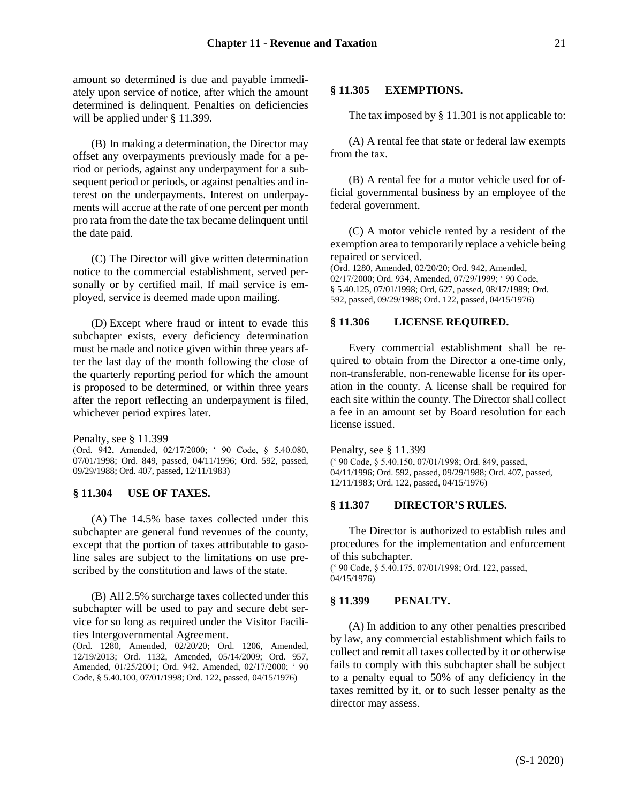amount so determined is due and payable immediately upon service of notice, after which the amount determined is delinquent. Penalties on deficiencies will be applied under § 11.399.

(B) In making a determination, the Director may offset any overpayments previously made for a period or periods, against any underpayment for a subsequent period or periods, or against penalties and interest on the underpayments. Interest on underpayments will accrue at the rate of one percent per month pro rata from the date the tax became delinquent until the date paid.

(C) The Director will give written determination notice to the commercial establishment, served personally or by certified mail. If mail service is employed, service is deemed made upon mailing.

(D) Except where fraud or intent to evade this subchapter exists, every deficiency determination must be made and notice given within three years after the last day of the month following the close of the quarterly reporting period for which the amount is proposed to be determined, or within three years after the report reflecting an underpayment is filed, whichever period expires later.

Penalty, see § 11.399

(Ord. 942, Amended, 02/17/2000; ' 90 Code, § 5.40.080, 07/01/1998; Ord. 849, passed, 04/11/1996; Ord. 592, passed, 09/29/1988; Ord. 407, passed, 12/11/1983)

### <span id="page-20-0"></span>**§ 11.304 USE OF TAXES.**

(A) The 14.5% base taxes collected under this subchapter are general fund revenues of the county, except that the portion of taxes attributable to gasoline sales are subject to the limitations on use prescribed by the constitution and laws of the state.

(B) All 2.5% surcharge taxes collected under this subchapter will be used to pay and secure debt service for so long as required under the Visitor Facilities Intergovernmental Agreement.

(Ord. 1280, Amended, 02/20/20; Ord. 1206, Amended, 12/19/2013; Ord. 1132, Amended, 05/14/2009; Ord. 957, Amended, 01/25/2001; Ord. 942, Amended, 02/17/2000; ' 90 Code, § 5.40.100, 07/01/1998; Ord. 122, passed, 04/15/1976)

# <span id="page-20-1"></span>**§ 11.305 EXEMPTIONS.**

The tax imposed by § 11.301 is not applicable to:

(A) A rental fee that state or federal law exempts from the tax.

(B) A rental fee for a motor vehicle used for official governmental business by an employee of the federal government.

(C) A motor vehicle rented by a resident of the exemption area to temporarily replace a vehicle being repaired or serviced.

(Ord. 1280, Amended, 02/20/20; Ord. 942, Amended, 02/17/2000; Ord. 934, Amended, 07/29/1999; ' 90 Code, § 5.40.125, 07/01/1998; Ord, 627, passed, 08/17/1989; Ord. 592, passed, 09/29/1988; Ord. 122, passed, 04/15/1976)

#### <span id="page-20-2"></span>**§ 11.306 LICENSE REQUIRED.**

Every commercial establishment shall be required to obtain from the Director a one-time only, non-transferable, non-renewable license for its operation in the county. A license shall be required for each site within the county. The Director shall collect a fee in an amount set by Board resolution for each license issued.

Penalty, see § 11.399 (' 90 Code, § 5.40.150, 07/01/1998; Ord. 849, passed, 04/11/1996; Ord. 592, passed, 09/29/1988; Ord. 407, passed, 12/11/1983; Ord. 122, passed, 04/15/1976)

### <span id="page-20-3"></span>**§ 11.307 DIRECTOR'S RULES.**

The Director is authorized to establish rules and procedures for the implementation and enforcement of this subchapter.

(' 90 Code, § 5.40.175, 07/01/1998; Ord. 122, passed, 04/15/1976)

#### <span id="page-20-4"></span>**§ 11.399 PENALTY.**

(A) In addition to any other penalties prescribed by law, any commercial establishment which fails to collect and remit all taxes collected by it or otherwise fails to comply with this subchapter shall be subject to a penalty equal to 50% of any deficiency in the taxes remitted by it, or to such lesser penalty as the director may assess.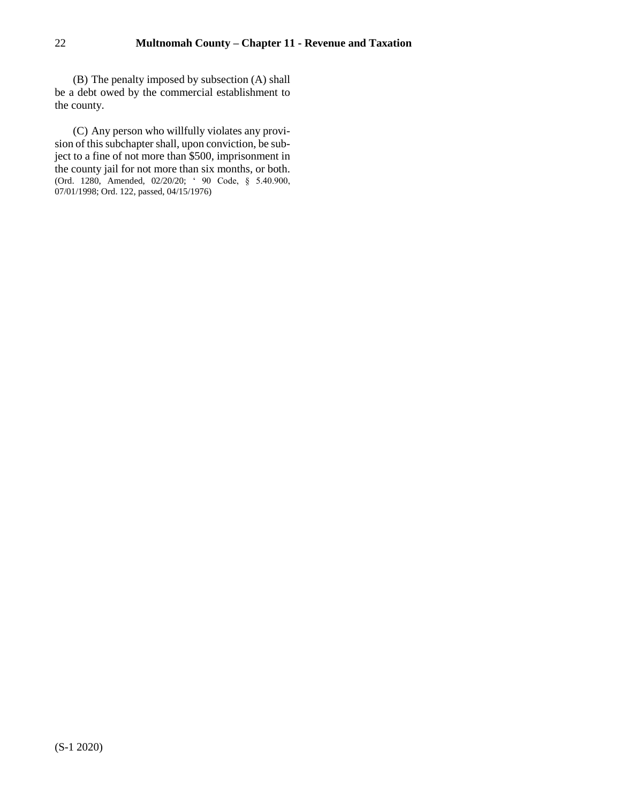(B) The penalty imposed by subsection (A) shall be a debt owed by the commercial establishment to the county.

(C) Any person who willfully violates any provision of this subchapter shall, upon conviction, be subject to a fine of not more than \$500, imprisonment in the county jail for not more than six months, or both. (Ord. 1280, Amended, 02/20/20; ' 90 Code, § 5.40.900, 07/01/1998; Ord. 122, passed, 04/15/1976)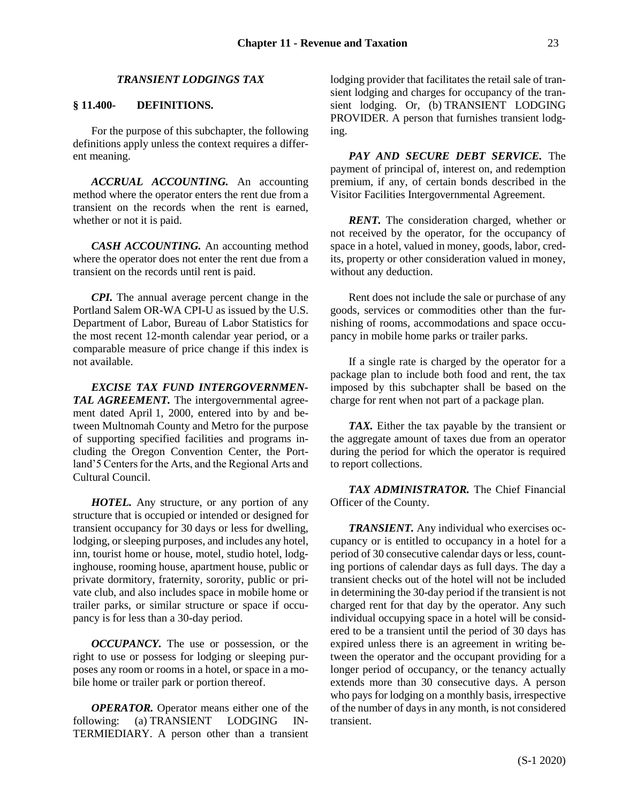### *TRANSIENT LODGINGS TAX*

# <span id="page-22-1"></span><span id="page-22-0"></span>**§ 11.400- DEFINITIONS.**

For the purpose of this subchapter, the following definitions apply unless the context requires a different meaning.

*ACCRUAL ACCOUNTING.* An accounting method where the operator enters the rent due from a transient on the records when the rent is earned, whether or not it is paid.

*CASH ACCOUNTING.* An accounting method where the operator does not enter the rent due from a transient on the records until rent is paid.

*CPI.* The annual average percent change in the Portland Salem OR-WA CPI-U as issued by the U.S. Department of Labor, Bureau of Labor Statistics for the most recent 12-month calendar year period, or a comparable measure of price change if this index is not available.

*EXCISE TAX FUND INTERGOVERNMEN-TAL AGREEMENT.* The intergovernmental agreement dated April 1, 2000, entered into by and between Multnomah County and Metro for the purpose of supporting specified facilities and programs including the Oregon Convention Center, the Portland'5 Centers for the Arts, and the Regional Arts and Cultural Council.

*HOTEL.* Any structure, or any portion of any structure that is occupied or intended or designed for transient occupancy for 30 days or less for dwelling, lodging, or sleeping purposes, and includes any hotel, inn, tourist home or house, motel, studio hotel, lodginghouse, rooming house, apartment house, public or private dormitory, fraternity, sorority, public or private club, and also includes space in mobile home or trailer parks, or similar structure or space if occupancy is for less than a 30-day period.

*OCCUPANCY.* The use or possession, or the right to use or possess for lodging or sleeping purposes any room or rooms in a hotel, or space in a mobile home or trailer park or portion thereof.

*OPERATOR.* Operator means either one of the following: (a) TRANSIENT LODGING IN-TERMIEDIARY. A person other than a transient

lodging provider that facilitates the retail sale of transient lodging and charges for occupancy of the transient lodging. Or, (b) TRANSIENT LODGING PROVIDER. A person that furnishes transient lodging.

*PAY AND SECURE DEBT SERVICE.* The payment of principal of, interest on, and redemption premium, if any, of certain bonds described in the Visitor Facilities Intergovernmental Agreement.

*RENT.* The consideration charged, whether or not received by the operator, for the occupancy of space in a hotel, valued in money, goods, labor, credits, property or other consideration valued in money, without any deduction.

Rent does not include the sale or purchase of any goods, services or commodities other than the furnishing of rooms, accommodations and space occupancy in mobile home parks or trailer parks.

If a single rate is charged by the operator for a package plan to include both food and rent, the tax imposed by this subchapter shall be based on the charge for rent when not part of a package plan.

*TAX.* Either the tax payable by the transient or the aggregate amount of taxes due from an operator during the period for which the operator is required to report collections.

*TAX ADMINISTRATOR.* The Chief Financial Officer of the County.

*TRANSIENT.* Any individual who exercises occupancy or is entitled to occupancy in a hotel for a period of 30 consecutive calendar days or less, counting portions of calendar days as full days. The day a transient checks out of the hotel will not be included in determining the 30-day period if the transient is not charged rent for that day by the operator. Any such individual occupying space in a hotel will be considered to be a transient until the period of 30 days has expired unless there is an agreement in writing between the operator and the occupant providing for a longer period of occupancy, or the tenancy actually extends more than 30 consecutive days. A person who pays for lodging on a monthly basis, irrespective of the number of days in any month, is not considered transient.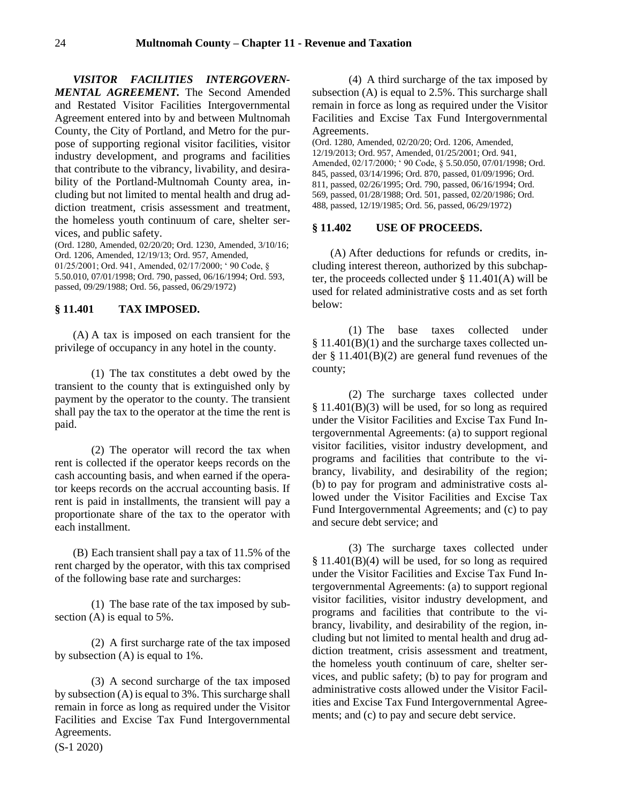*VISITOR FACILITIES INTERGOVERN-MENTAL AGREEMENT.* The Second Amended and Restated Visitor Facilities Intergovernmental Agreement entered into by and between Multnomah County, the City of Portland, and Metro for the purpose of supporting regional visitor facilities, visitor industry development, and programs and facilities that contribute to the vibrancy, livability, and desirability of the Portland-Multnomah County area, including but not limited to mental health and drug addiction treatment, crisis assessment and treatment, the homeless youth continuum of care, shelter services, and public safety.

(Ord. 1280, Amended, 02/20/20; Ord. 1230, Amended, 3/10/16; Ord. 1206, Amended, 12/19/13; Ord. 957, Amended, 01/25/2001; Ord. 941, Amended, 02/17/2000; ' 90 Code, § 5.50.010, 07/01/1998; Ord. 790, passed, 06/16/1994; Ord. 593, passed, 09/29/1988; Ord. 56, passed, 06/29/1972)

# <span id="page-23-0"></span>**§ 11.401 TAX IMPOSED.**

(A) A tax is imposed on each transient for the privilege of occupancy in any hotel in the county.

(1) The tax constitutes a debt owed by the transient to the county that is extinguished only by payment by the operator to the county. The transient shall pay the tax to the operator at the time the rent is paid.

(2) The operator will record the tax when rent is collected if the operator keeps records on the cash accounting basis, and when earned if the operator keeps records on the accrual accounting basis. If rent is paid in installments, the transient will pay a proportionate share of the tax to the operator with each installment.

(B) Each transient shall pay a tax of 11.5% of the rent charged by the operator, with this tax comprised of the following base rate and surcharges:

(1) The base rate of the tax imposed by subsection (A) is equal to 5%.

(2) A first surcharge rate of the tax imposed by subsection (A) is equal to 1%.

(3) A second surcharge of the tax imposed by subsection (A) is equal to 3%. This surcharge shall remain in force as long as required under the Visitor Facilities and Excise Tax Fund Intergovernmental Agreements.

(4) A third surcharge of the tax imposed by subsection (A) is equal to 2.5%. This surcharge shall remain in force as long as required under the Visitor Facilities and Excise Tax Fund Intergovernmental Agreements.

(Ord. 1280, Amended, 02/20/20; Ord. 1206, Amended, 12/19/2013; Ord. 957, Amended, 01/25/2001; Ord. 941, Amended, 02/17/2000; ' 90 Code, § 5.50.050, 07/01/1998; Ord. 845, passed, 03/14/1996; Ord. 870, passed, 01/09/1996; Ord. 811, passed, 02/26/1995; Ord. 790, passed, 06/16/1994; Ord. 569, passed, 01/28/1988; Ord. 501, passed, 02/20/1986; Ord. 488, passed, 12/19/1985; Ord. 56, passed, 06/29/1972)

### <span id="page-23-1"></span>**§ 11.402 USE OF PROCEEDS.**

(A) After deductions for refunds or credits, including interest thereon, authorized by this subchapter, the proceeds collected under § 11.401(A) will be used for related administrative costs and as set forth below:

(1) The base taxes collected under § 11.401(B)(1) and the surcharge taxes collected under § 11.401(B)(2) are general fund revenues of the county;

(2) The surcharge taxes collected under  $§$  11.401(B)(3) will be used, for so long as required under the Visitor Facilities and Excise Tax Fund Intergovernmental Agreements: (a) to support regional visitor facilities, visitor industry development, and programs and facilities that contribute to the vibrancy, livability, and desirability of the region; (b) to pay for program and administrative costs allowed under the Visitor Facilities and Excise Tax Fund Intergovernmental Agreements; and (c) to pay and secure debt service; and

(3) The surcharge taxes collected under  $§$  11.401(B)(4) will be used, for so long as required under the Visitor Facilities and Excise Tax Fund Intergovernmental Agreements: (a) to support regional visitor facilities, visitor industry development, and programs and facilities that contribute to the vibrancy, livability, and desirability of the region, including but not limited to mental health and drug addiction treatment, crisis assessment and treatment, the homeless youth continuum of care, shelter services, and public safety; (b) to pay for program and administrative costs allowed under the Visitor Facilities and Excise Tax Fund Intergovernmental Agreements; and (c) to pay and secure debt service.

(S-1 2020)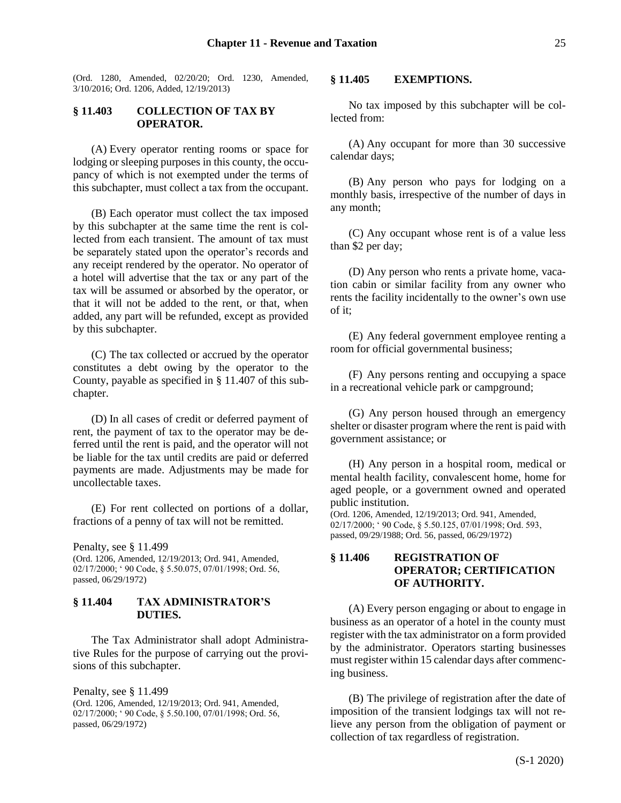(Ord. 1280, Amended, 02/20/20; Ord. 1230, Amended, 3/10/2016; Ord. 1206, Added, 12/19/2013)

# <span id="page-24-0"></span>**§ 11.403 COLLECTION OF TAX BY OPERATOR.**

(A) Every operator renting rooms or space for lodging or sleeping purposes in this county, the occupancy of which is not exempted under the terms of this subchapter, must collect a tax from the occupant.

(B) Each operator must collect the tax imposed by this subchapter at the same time the rent is collected from each transient. The amount of tax must be separately stated upon the operator's records and any receipt rendered by the operator. No operator of a hotel will advertise that the tax or any part of the tax will be assumed or absorbed by the operator, or that it will not be added to the rent, or that, when added, any part will be refunded, except as provided by this subchapter.

(C) The tax collected or accrued by the operator constitutes a debt owing by the operator to the County, payable as specified in § 11.407 of this subchapter.

(D) In all cases of credit or deferred payment of rent, the payment of tax to the operator may be deferred until the rent is paid, and the operator will not be liable for the tax until credits are paid or deferred payments are made. Adjustments may be made for uncollectable taxes.

(E) For rent collected on portions of a dollar, fractions of a penny of tax will not be remitted.

Penalty, see § 11.499

(Ord. 1206, Amended, 12/19/2013; Ord. 941, Amended, 02/17/2000; ' 90 Code, § 5.50.075, 07/01/1998; Ord. 56, passed, 06/29/1972)

### <span id="page-24-1"></span>**§ 11.404 TAX ADMINISTRATOR'S DUTIES.**

The Tax Administrator shall adopt Administrative Rules for the purpose of carrying out the provisions of this subchapter.

Penalty, see § 11.499 (Ord. 1206, Amended, 12/19/2013; Ord. 941, Amended, 02/17/2000; ' 90 Code, § 5.50.100, 07/01/1998; Ord. 56, passed, 06/29/1972)

#### <span id="page-24-2"></span>**§ 11.405 EXEMPTIONS.**

No tax imposed by this subchapter will be collected from:

(A) Any occupant for more than 30 successive calendar days;

(B) Any person who pays for lodging on a monthly basis, irrespective of the number of days in any month;

(C) Any occupant whose rent is of a value less than \$2 per day;

(D) Any person who rents a private home, vacation cabin or similar facility from any owner who rents the facility incidentally to the owner's own use of it;

(E) Any federal government employee renting a room for official governmental business;

(F) Any persons renting and occupying a space in a recreational vehicle park or campground;

(G) Any person housed through an emergency shelter or disaster program where the rent is paid with government assistance; or

(H) Any person in a hospital room, medical or mental health facility, convalescent home, home for aged people, or a government owned and operated public institution.

(Ord. 1206, Amended, 12/19/2013; Ord. 941, Amended, 02/17/2000; ' 90 Code, § 5.50.125, 07/01/1998; Ord. 593, passed, 09/29/1988; Ord. 56, passed, 06/29/1972)

# <span id="page-24-3"></span>**§ 11.406 REGISTRATION OF OPERATOR; CERTIFICATION OF AUTHORITY.**

(A) Every person engaging or about to engage in business as an operator of a hotel in the county must register with the tax administrator on a form provided by the administrator. Operators starting businesses must register within 15 calendar days after commencing business.

(B) The privilege of registration after the date of imposition of the transient lodgings tax will not relieve any person from the obligation of payment or collection of tax regardless of registration.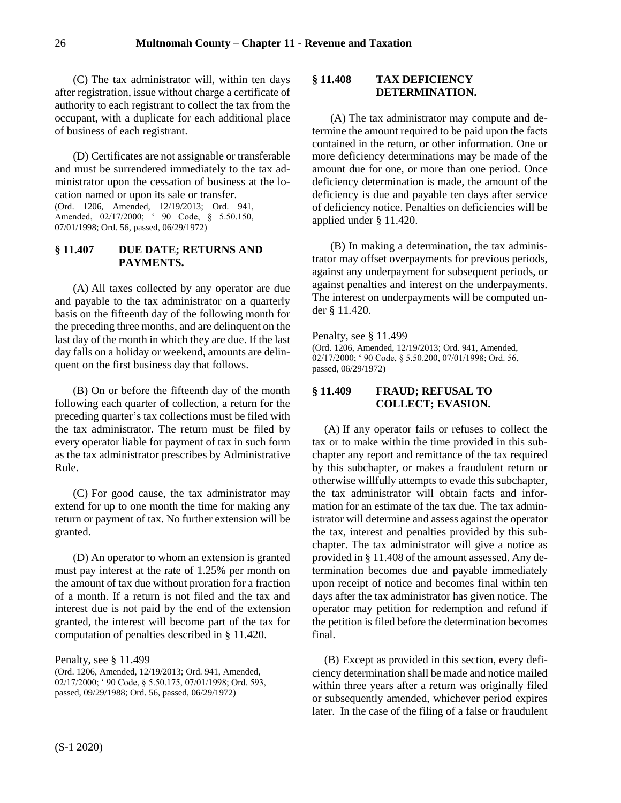(C) The tax administrator will, within ten days after registration, issue without charge a certificate of authority to each registrant to collect the tax from the occupant, with a duplicate for each additional place of business of each registrant.

(D) Certificates are not assignable or transferable and must be surrendered immediately to the tax administrator upon the cessation of business at the location named or upon its sale or transfer. (Ord. 1206, Amended, 12/19/2013; Ord. 941, Amended, 02/17/2000; ' 90 Code, § 5.50.150, 07/01/1998; Ord. 56, passed, 06/29/1972)

# <span id="page-25-0"></span>**§ 11.407 DUE DATE; RETURNS AND PAYMENTS.**

(A) All taxes collected by any operator are due and payable to the tax administrator on a quarterly basis on the fifteenth day of the following month for the preceding three months, and are delinquent on the last day of the month in which they are due. If the last day falls on a holiday or weekend, amounts are delinquent on the first business day that follows.

(B) On or before the fifteenth day of the month following each quarter of collection, a return for the preceding quarter's tax collections must be filed with the tax administrator. The return must be filed by every operator liable for payment of tax in such form as the tax administrator prescribes by Administrative Rule.

(C) For good cause, the tax administrator may extend for up to one month the time for making any return or payment of tax. No further extension will be granted.

(D) An operator to whom an extension is granted must pay interest at the rate of 1.25% per month on the amount of tax due without proration for a fraction of a month. If a return is not filed and the tax and interest due is not paid by the end of the extension granted, the interest will become part of the tax for computation of penalties described in § 11.420.

Penalty, see § 11.499

(Ord. 1206, Amended, 12/19/2013; Ord. 941, Amended, 02/17/2000; ' 90 Code, § 5.50.175, 07/01/1998; Ord. 593, passed, 09/29/1988; Ord. 56, passed, 06/29/1972)

# <span id="page-25-1"></span>**§ 11.408 TAX DEFICIENCY DETERMINATION.**

(A) The tax administrator may compute and determine the amount required to be paid upon the facts contained in the return, or other information. One or more deficiency determinations may be made of the amount due for one, or more than one period. Once deficiency determination is made, the amount of the deficiency is due and payable ten days after service of deficiency notice. Penalties on deficiencies will be applied under § 11.420.

(B) In making a determination, the tax administrator may offset overpayments for previous periods, against any underpayment for subsequent periods, or against penalties and interest on the underpayments. The interest on underpayments will be computed under § 11.420.

Penalty, see § 11.499

(Ord. 1206, Amended, 12/19/2013; Ord. 941, Amended, 02/17/2000; ' 90 Code, § 5.50.200, 07/01/1998; Ord. 56, passed, 06/29/1972)

# <span id="page-25-2"></span>**§ 11.409 FRAUD; REFUSAL TO COLLECT; EVASION.**

(A) If any operator fails or refuses to collect the tax or to make within the time provided in this subchapter any report and remittance of the tax required by this subchapter, or makes a fraudulent return or otherwise willfully attempts to evade this subchapter, the tax administrator will obtain facts and information for an estimate of the tax due. The tax administrator will determine and assess against the operator the tax, interest and penalties provided by this subchapter. The tax administrator will give a notice as provided in § 11.408 of the amount assessed. Any determination becomes due and payable immediately upon receipt of notice and becomes final within ten days after the tax administrator has given notice. The operator may petition for redemption and refund if the petition is filed before the determination becomes final.

(B) Except as provided in this section, every deficiency determination shall be made and notice mailed within three years after a return was originally filed or subsequently amended, whichever period expires later. In the case of the filing of a false or fraudulent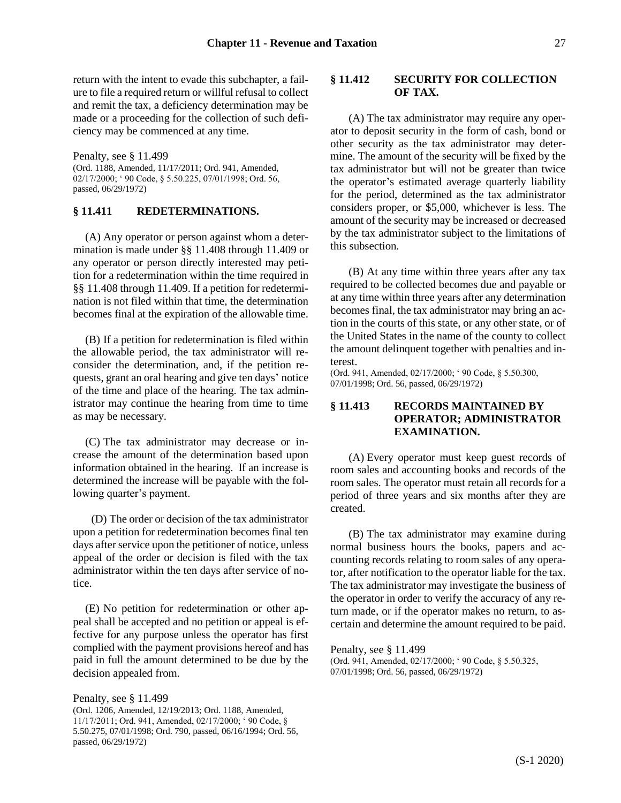return with the intent to evade this subchapter, a failure to file a required return or willful refusal to collect and remit the tax, a deficiency determination may be made or a proceeding for the collection of such deficiency may be commenced at any time.

Penalty, see § 11.499

(Ord. 1188, Amended, 11/17/2011; Ord. 941, Amended, 02/17/2000; ' 90 Code, § 5.50.225, 07/01/1998; Ord. 56, passed, 06/29/1972)

### <span id="page-26-0"></span>**§ 11.411 REDETERMINATIONS.**

(A) Any operator or person against whom a determination is made under §§ 11.408 through 11.409 or any operator or person directly interested may petition for a redetermination within the time required in §§ 11.408 through 11.409. If a petition for redetermination is not filed within that time, the determination becomes final at the expiration of the allowable time.

(B) If a petition for redetermination is filed within the allowable period, the tax administrator will reconsider the determination, and, if the petition requests, grant an oral hearing and give ten days' notice of the time and place of the hearing. The tax administrator may continue the hearing from time to time as may be necessary.

(C) The tax administrator may decrease or increase the amount of the determination based upon information obtained in the hearing. If an increase is determined the increase will be payable with the following quarter's payment.

(D) The order or decision of the tax administrator upon a petition for redetermination becomes final ten days after service upon the petitioner of notice, unless appeal of the order or decision is filed with the tax administrator within the ten days after service of notice.

(E) No petition for redetermination or other appeal shall be accepted and no petition or appeal is effective for any purpose unless the operator has first complied with the payment provisions hereof and has paid in full the amount determined to be due by the decision appealed from.

Penalty, see § 11.499 (Ord. 1206, Amended, 12/19/2013; Ord. 1188, Amended, 11/17/2011; Ord. 941, Amended, 02/17/2000; ' 90 Code, § 5.50.275, 07/01/1998; Ord. 790, passed, 06/16/1994; Ord. 56, passed, 06/29/1972)

## <span id="page-26-1"></span>**§ 11.412 SECURITY FOR COLLECTION OF TAX.**

(A) The tax administrator may require any operator to deposit security in the form of cash, bond or other security as the tax administrator may determine. The amount of the security will be fixed by the tax administrator but will not be greater than twice the operator's estimated average quarterly liability for the period, determined as the tax administrator considers proper, or \$5,000, whichever is less. The amount of the security may be increased or decreased by the tax administrator subject to the limitations of this subsection.

(B) At any time within three years after any tax required to be collected becomes due and payable or at any time within three years after any determination becomes final, the tax administrator may bring an action in the courts of this state, or any other state, or of the United States in the name of the county to collect the amount delinquent together with penalties and interest.

(Ord. 941, Amended, 02/17/2000; ' 90 Code, § 5.50.300, 07/01/1998; Ord. 56, passed, 06/29/1972)

# <span id="page-26-2"></span>**§ 11.413 RECORDS MAINTAINED BY OPERATOR; ADMINISTRATOR EXAMINATION.**

(A) Every operator must keep guest records of room sales and accounting books and records of the room sales. The operator must retain all records for a period of three years and six months after they are created.

(B) The tax administrator may examine during normal business hours the books, papers and accounting records relating to room sales of any operator, after notification to the operator liable for the tax. The tax administrator may investigate the business of the operator in order to verify the accuracy of any return made, or if the operator makes no return, to ascertain and determine the amount required to be paid.

Penalty, see § 11.499 (Ord. 941, Amended, 02/17/2000; ' 90 Code, § 5.50.325, 07/01/1998; Ord. 56, passed, 06/29/1972)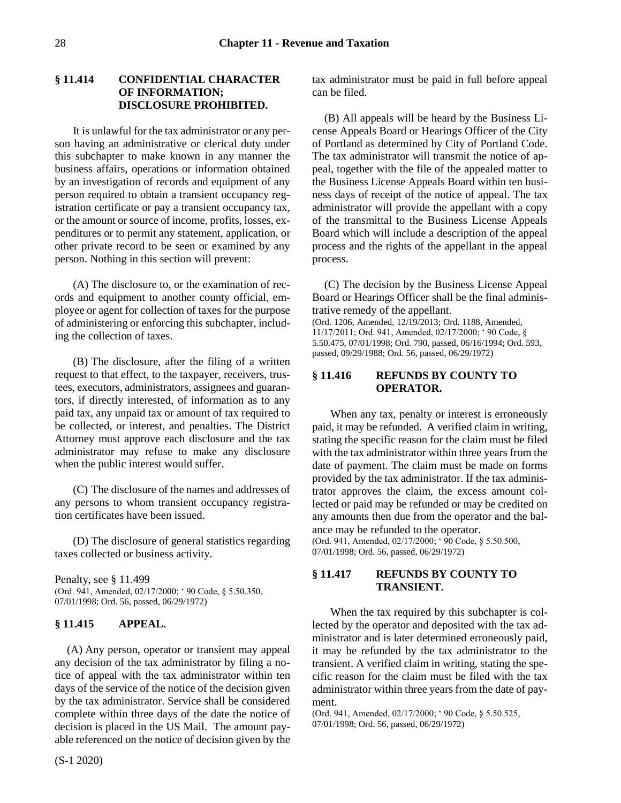# <span id="page-27-0"></span>**§ 11.414 CONFIDENTIAL CHARACTER OF INFORMATION; DISCLOSURE PROHIBITED.**

It is unlawful for the tax administrator or any person having an administrative or clerical duty under this subchapter to make known in any manner the business affairs, operations or information obtained by an investigation of records and equipment of any person required to obtain a transient occupancy registration certificate or pay a transient occupancy tax, or the amount or source of income, profits, losses, expenditures or to permit any statement, application, or other private record to be seen or examined by any person. Nothing in this section will prevent:

(A) The disclosure to, or the examination of records and equipment to another county official, employee or agent for collection of taxes for the purpose of administering or enforcing this subchapter, including the collection of taxes.

(B) The disclosure, after the filing of a written request to that effect, to the taxpayer, receivers, trustees, executors, administrators, assignees and guarantors, if directly interested, of information as to any paid tax, any unpaid tax or amount of tax required to be collected, or interest, and penalties. The District Attorney must approve each disclosure and the tax administrator may refuse to make any disclosure when the public interest would suffer.

(C) The disclosure of the names and addresses of any persons to whom transient occupancy registration certificates have been issued.

(D) The disclosure of general statistics regarding taxes collected or business activity.

Penalty, see § 11.499 (Ord. 941, Amended, 02/17/2000; ' 90 Code, § 5.50.350, 07/01/1998; Ord. 56, passed, 06/29/1972)

# <span id="page-27-1"></span>**§ 11.415 APPEAL.**

(A) Any person, operator or transient may appeal any decision of the tax administrator by filing a notice of appeal with the tax administrator within ten days of the service of the notice of the decision given by the tax administrator. Service shall be considered complete within three days of the date the notice of decision is placed in the US Mail. The amount payable referenced on the notice of decision given by the

tax administrator must be paid in full before appeal can be filed.

(B) All appeals will be heard by the Business License Appeals Board or Hearings Officer of the City of Portland as determined by City of Portland Code. The tax administrator will transmit the notice of appeal, together with the file of the appealed matter to the Business License Appeals Board within ten business days of receipt of the notice of appeal. The tax administrator will provide the appellant with a copy of the transmittal to the Business License Appeals Board which will include a description of the appeal process and the rights of the appellant in the appeal process.

(C) The decision by the Business License Appeal Board or Hearings Officer shall be the final administrative remedy of the appellant.

(Ord. 1206, Amended, 12/19/2013; Ord. 1188, Amended, 11/17/2011; Ord. 941, Amended, 02/17/2000; ' 90 Code, § 5.50.475, 07/01/1998; Ord. 790, passed, 06/16/1994; Ord. 593, passed, 09/29/1988; Ord. 56, passed, 06/29/1972)

# <span id="page-27-2"></span>**§ 11.416 REFUNDS BY COUNTY TO OPERATOR.**

When any tax, penalty or interest is erroneously paid, it may be refunded. A verified claim in writing, stating the specific reason for the claim must be filed with the tax administrator within three years from the date of payment. The claim must be made on forms provided by the tax administrator. If the tax administrator approves the claim, the excess amount collected or paid may be refunded or may be credited on any amounts then due from the operator and the balance may be refunded to the operator.

(Ord. 941, Amended, 02/17/2000; ' 90 Code, § 5.50.500, 07/01/1998; Ord. 56, passed, 06/29/1972)

# <span id="page-27-3"></span>**§ 11.417 REFUNDS BY COUNTY TO TRANSIENT.**

When the tax required by this subchapter is collected by the operator and deposited with the tax administrator and is later determined erroneously paid, it may be refunded by the tax administrator to the transient. A verified claim in writing, stating the specific reason for the claim must be filed with the tax administrator within three years from the date of payment.

(Ord. 941, Amended, 02/17/2000; ' 90 Code, § 5.50.525, 07/01/1998; Ord. 56, passed, 06/29/1972)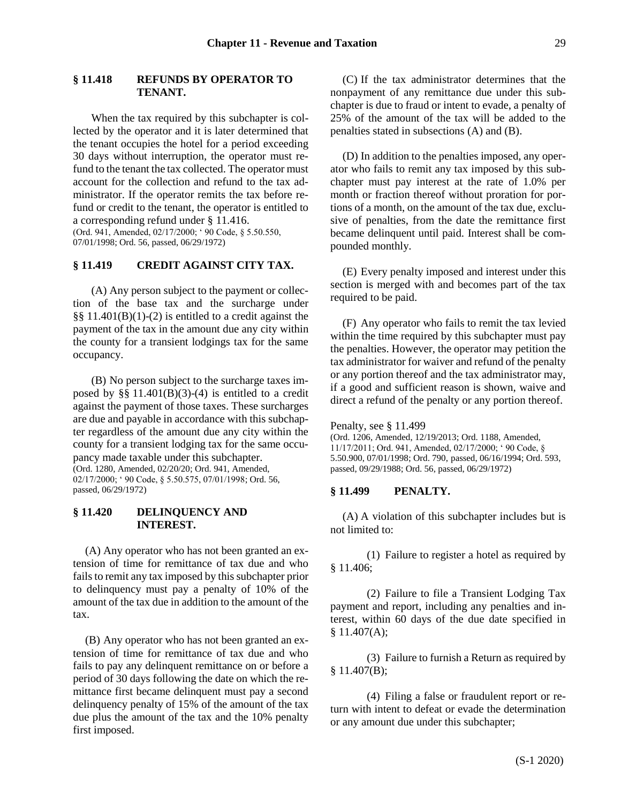#### <span id="page-28-0"></span>**§ 11.418 REFUNDS BY OPERATOR TO TENANT.**

When the tax required by this subchapter is collected by the operator and it is later determined that the tenant occupies the hotel for a period exceeding 30 days without interruption, the operator must refund to the tenant the tax collected. The operator must account for the collection and refund to the tax administrator. If the operator remits the tax before refund or credit to the tenant, the operator is entitled to a corresponding refund under § 11.416. (Ord. 941, Amended, 02/17/2000; ' 90 Code, § 5.50.550, 07/01/1998; Ord. 56, passed, 06/29/1972)

### <span id="page-28-1"></span>**§ 11.419 CREDIT AGAINST CITY TAX.**

(A) Any person subject to the payment or collection of the base tax and the surcharge under §§ 11.401(B)(1)-(2) is entitled to a credit against the payment of the tax in the amount due any city within the county for a transient lodgings tax for the same occupancy.

(B) No person subject to the surcharge taxes imposed by  $\S$ § 11.401(B)(3)-(4) is entitled to a credit against the payment of those taxes. These surcharges are due and payable in accordance with this subchapter regardless of the amount due any city within the county for a transient lodging tax for the same occupancy made taxable under this subchapter. (Ord. 1280, Amended, 02/20/20; Ord. 941, Amended, 02/17/2000; ' 90 Code, § 5.50.575, 07/01/1998; Ord. 56, passed, 06/29/1972)

### <span id="page-28-2"></span>**§ 11.420 DELINQUENCY AND INTEREST.**

(A) Any operator who has not been granted an extension of time for remittance of tax due and who fails to remit any tax imposed by this subchapter prior to delinquency must pay a penalty of 10% of the amount of the tax due in addition to the amount of the tax.

(B) Any operator who has not been granted an extension of time for remittance of tax due and who fails to pay any delinquent remittance on or before a period of 30 days following the date on which the remittance first became delinquent must pay a second delinquency penalty of 15% of the amount of the tax due plus the amount of the tax and the 10% penalty first imposed.

(C) If the tax administrator determines that the nonpayment of any remittance due under this subchapter is due to fraud or intent to evade, a penalty of 25% of the amount of the tax will be added to the penalties stated in subsections (A) and (B).

(D) In addition to the penalties imposed, any operator who fails to remit any tax imposed by this subchapter must pay interest at the rate of 1.0% per month or fraction thereof without proration for portions of a month, on the amount of the tax due, exclusive of penalties, from the date the remittance first became delinquent until paid. Interest shall be compounded monthly.

(E) Every penalty imposed and interest under this section is merged with and becomes part of the tax required to be paid.

(F) Any operator who fails to remit the tax levied within the time required by this subchapter must pay the penalties. However, the operator may petition the tax administrator for waiver and refund of the penalty or any portion thereof and the tax administrator may, if a good and sufficient reason is shown, waive and direct a refund of the penalty or any portion thereof.

Penalty, see § 11.499

(Ord. 1206, Amended, 12/19/2013; Ord. 1188, Amended, 11/17/2011; Ord. 941, Amended, 02/17/2000; ' 90 Code, § 5.50.900, 07/01/1998; Ord. 790, passed, 06/16/1994; Ord. 593, passed, 09/29/1988; Ord. 56, passed, 06/29/1972)

### <span id="page-28-3"></span>**§ 11.499 PENALTY.**

(A) A violation of this subchapter includes but is not limited to:

(1) Failure to register a hotel as required by § 11.406;

(2) Failure to file a Transient Lodging Tax payment and report, including any penalties and interest, within 60 days of the due date specified in § 11.407(A);

(3) Failure to furnish a Return as required by  $§ 11.407(B);$ 

(4) Filing a false or fraudulent report or return with intent to defeat or evade the determination or any amount due under this subchapter;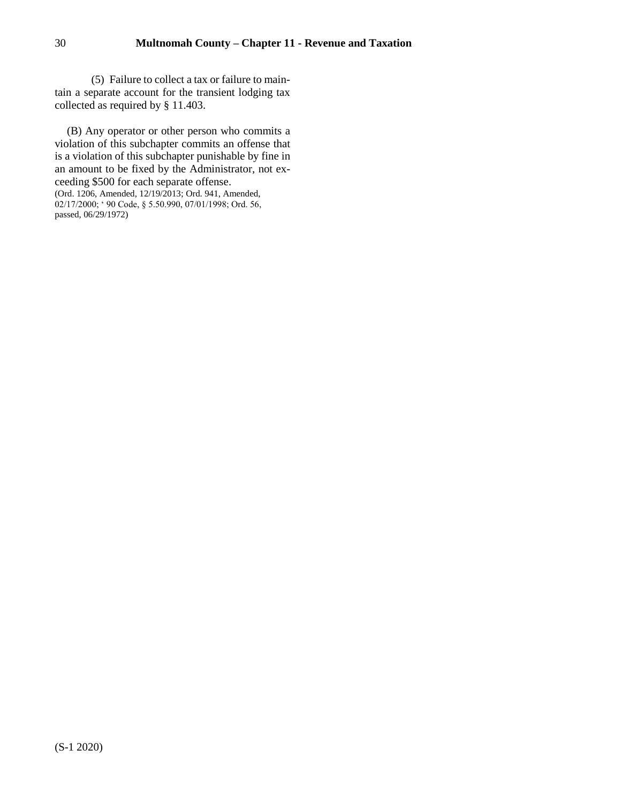(5) Failure to collect a tax or failure to maintain a separate account for the transient lodging tax collected as required by § 11.403.

(B) Any operator or other person who commits a violation of this subchapter commits an offense that is a violation of this subchapter punishable by fine in an amount to be fixed by the Administrator, not exceeding \$500 for each separate offense.

<sup>(</sup>Ord. 1206, Amended, 12/19/2013; Ord. 941, Amended, 02/17/2000; ' 90 Code, § 5.50.990, 07/01/1998; Ord. 56, passed, 06/29/1972)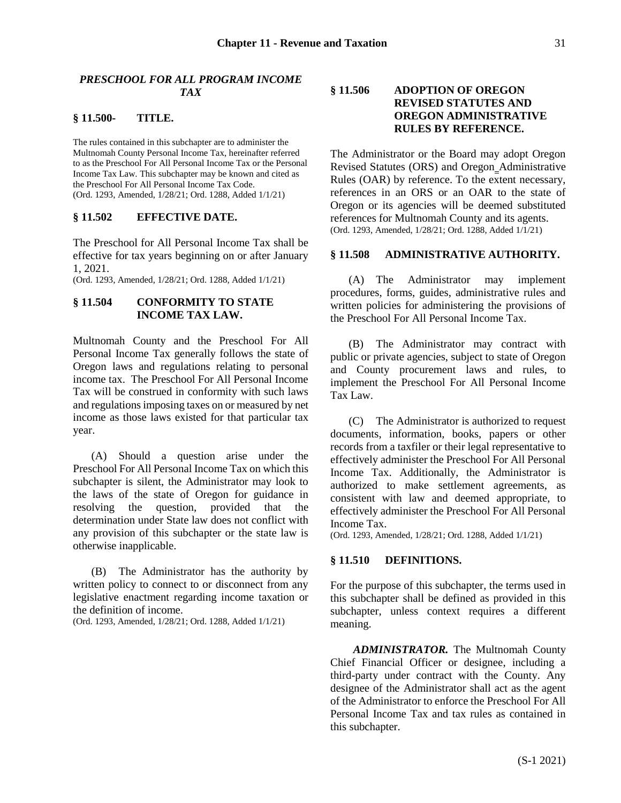### <span id="page-30-0"></span>*PRESCHOOL FOR ALL PROGRAM INCOME TAX*

### <span id="page-30-1"></span>**§ 11.500- TITLE.**

The rules contained in this subchapter are to administer the Multnomah County Personal Income Tax, hereinafter referred to as the Preschool For All Personal Income Tax or the Personal Income Tax Law. This subchapter may be known and cited as the Preschool For All Personal Income Tax Code. (Ord. 1293, Amended, 1/28/21; Ord. 1288, Added 1/1/21)

### **§ 11.502 EFFECTIVE DATE.**

The Preschool for All Personal Income Tax shall be effective for tax years beginning on or after January 1, 2021.

(Ord. 1293, Amended, 1/28/21; Ord. 1288, Added 1/1/21)

### **§ 11.504 CONFORMITY TO STATE INCOME TAX LAW.**

Multnomah County and the Preschool For All Personal Income Tax generally follows the state of Oregon laws and regulations relating to personal income tax. The Preschool For All Personal Income Tax will be construed in conformity with such laws and regulations imposing taxes on or measured by net income as those laws existed for that particular tax year.

(A) Should a question arise under the Preschool For All Personal Income Tax on which this subchapter is silent, the Administrator may look to the laws of the state of Oregon for guidance in resolving the question, provided that the determination under State law does not conflict with any provision of this subchapter or the state law is otherwise inapplicable.

(B) The Administrator has the authority by written policy to connect to or disconnect from any legislative enactment regarding income taxation or the definition of income.

(Ord. 1293, Amended, 1/28/21; Ord. 1288, Added 1/1/21)

# **§ 11.506 ADOPTION OF OREGON REVISED STATUTES AND OREGON ADMINISTRATIVE RULES BY REFERENCE.**

The Administrator or the Board may adopt Oregon Revised Statutes (ORS) and Oregon Administrative Rules (OAR) by reference. To the extent necessary, references in an ORS or an OAR to the state of Oregon or its agencies will be deemed substituted references for Multnomah County and its agents. (Ord. 1293, Amended, 1/28/21; Ord. 1288, Added 1/1/21)

#### <span id="page-30-2"></span>**§ 11.508 ADMINISTRATIVE AUTHORITY.**

(A) The Administrator may implement procedures, forms, guides, administrative rules and written policies for administering the provisions of the Preschool For All Personal Income Tax.

(B) The Administrator may contract with public or private agencies, subject to state of Oregon and County procurement laws and rules, to implement the Preschool For All Personal Income Tax Law.

(C) The Administrator is authorized to request documents, information, books, papers or other records from a taxfiler or their legal representative to effectively administer the Preschool For All Personal Income Tax. Additionally, the Administrator is authorized to make settlement agreements, as consistent with law and deemed appropriate, to effectively administer the Preschool For All Personal Income Tax.

(Ord. 1293, Amended, 1/28/21; Ord. 1288, Added 1/1/21)

#### <span id="page-30-3"></span>**§ 11.510 DEFINITIONS.**

For the purpose of this subchapter, the terms used in this subchapter shall be defined as provided in this subchapter, unless context requires a different meaning.

*ADMINISTRATOR.* The Multnomah County Chief Financial Officer or designee, including a third-party under contract with the County. Any designee of the Administrator shall act as the agent of the Administrator to enforce the Preschool For All Personal Income Tax and tax rules as contained in this subchapter.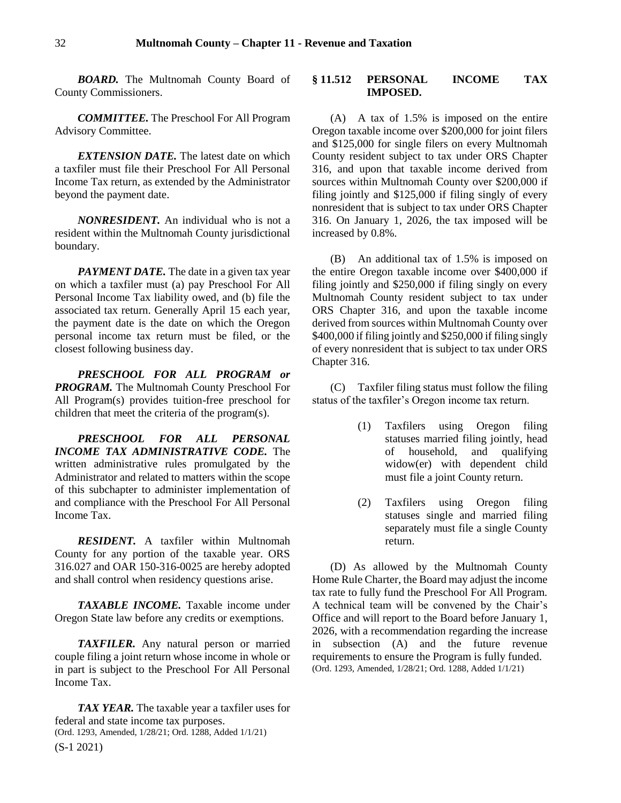*BOARD.* The Multnomah County Board of County Commissioners.

*COMMITTEE.* The Preschool For All Program Advisory Committee.

*EXTENSION DATE*. The latest date on which a taxfiler must file their Preschool For All Personal Income Tax return, as extended by the Administrator beyond the payment date.

*NONRESIDENT.* An individual who is not a resident within the Multnomah County jurisdictional boundary.

*PAYMENT DATE*. The date in a given tax year on which a taxfiler must (a) pay Preschool For All Personal Income Tax liability owed, and (b) file the associated tax return. Generally April 15 each year, the payment date is the date on which the Oregon personal income tax return must be filed, or the closest following business day.

*PRESCHOOL FOR ALL PROGRAM or PROGRAM.* The Multnomah County Preschool For All Program(s) provides tuition-free preschool for children that meet the criteria of the program(s).

*PRESCHOOL FOR ALL PERSONAL INCOME TAX ADMINISTRATIVE CODE.* The written administrative rules promulgated by the Administrator and related to matters within the scope of this subchapter to administer implementation of and compliance with the Preschool For All Personal Income Tax.

*RESIDENT.* A taxfiler within Multnomah County for any portion of the taxable year. ORS 316.027 and OAR 150-316-0025 are hereby adopted and shall control when residency questions arise.

*TAXABLE INCOME.* Taxable income under Oregon State law before any credits or exemptions.

*TAXFILER.* Any natural person or married couple filing a joint return whose income in whole or in part is subject to the Preschool For All Personal Income Tax.

(S-1 2021) *TAX YEAR.* The taxable year a taxfiler uses for federal and state income tax purposes. (Ord. 1293, Amended, 1/28/21; Ord. 1288, Added 1/1/21)

### <span id="page-31-0"></span>**§ 11.512 PERSONAL INCOME TAX IMPOSED.**

(A) A tax of 1.5% is imposed on the entire Oregon taxable income over \$200,000 for joint filers and \$125,000 for single filers on every Multnomah County resident subject to tax under ORS Chapter 316, and upon that taxable income derived from sources within Multnomah County over \$200,000 if filing jointly and \$125,000 if filing singly of every nonresident that is subject to tax under ORS Chapter 316. On January 1, 2026, the tax imposed will be increased by 0.8%.

(B) An additional tax of 1.5% is imposed on the entire Oregon taxable income over \$400,000 if filing jointly and \$250,000 if filing singly on every Multnomah County resident subject to tax under ORS Chapter 316, and upon the taxable income derived from sources within Multnomah County over \$400,000 if filing jointly and \$250,000 if filing singly of every nonresident that is subject to tax under ORS Chapter 316.

(C) Taxfiler filing status must follow the filing status of the taxfiler's Oregon income tax return.

- (1) Taxfilers using Oregon filing statuses married filing jointly, head of household, and qualifying widow(er) with dependent child must file a joint County return.
- (2) Taxfilers using Oregon filing statuses single and married filing separately must file a single County return.

(D) As allowed by the Multnomah County Home Rule Charter, the Board may adjust the income tax rate to fully fund the Preschool For All Program. A technical team will be convened by the Chair's Office and will report to the Board before January 1, 2026, with a recommendation regarding the increase in subsection (A) and the future revenue requirements to ensure the Program is fully funded. (Ord. 1293, Amended, 1/28/21; Ord. 1288, Added 1/1/21)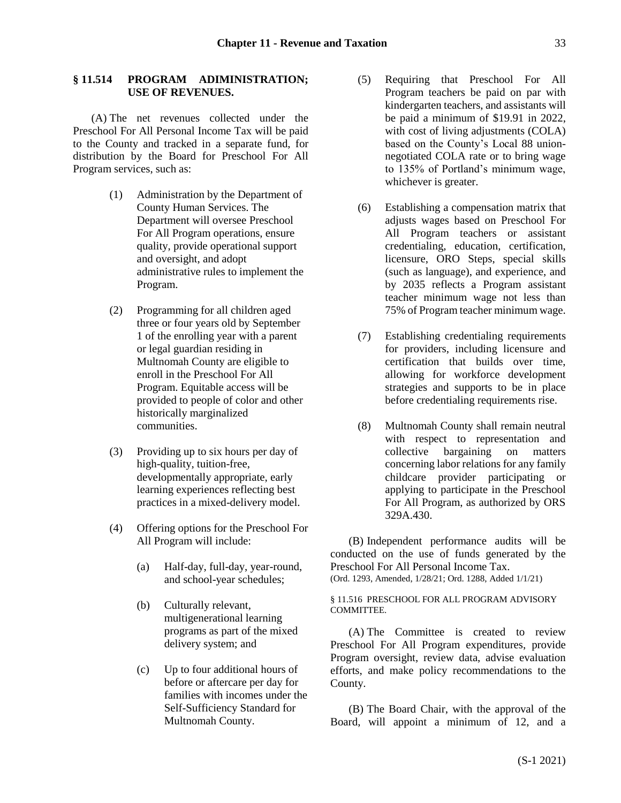# <span id="page-32-0"></span>**§ 11.514 PROGRAM ADIMINISTRATION; USE OF REVENUES.**

(A) The net revenues collected under the Preschool For All Personal Income Tax will be paid to the County and tracked in a separate fund, for distribution by the Board for Preschool For All Program services, such as:

- (1) Administration by the Department of County Human Services. The Department will oversee Preschool For All Program operations, ensure quality, provide operational support and oversight, and adopt administrative rules to implement the Program.
- (2) Programming for all children aged three or four years old by September 1 of the enrolling year with a parent or legal guardian residing in Multnomah County are eligible to enroll in the Preschool For All Program. Equitable access will be provided to people of color and other historically marginalized communities.
- (3) Providing up to six hours per day of high-quality, tuition-free, developmentally appropriate, early learning experiences reflecting best practices in a mixed-delivery model.
- (4) Offering options for the Preschool For All Program will include:
	- (a) Half-day, full-day, year-round, and school-year schedules;
	- (b) Culturally relevant, multigenerational learning programs as part of the mixed delivery system; and
	- (c) Up to four additional hours of before or aftercare per day for families with incomes under the Self-Sufficiency Standard for Multnomah County.
- (5) Requiring that Preschool For All Program teachers be paid on par with kindergarten teachers, and assistants will be paid a minimum of \$19.91 in 2022, with cost of living adjustments (COLA) based on the County's Local 88 unionnegotiated COLA rate or to bring wage to 135% of Portland's minimum wage, whichever is greater.
- (6) Establishing a compensation matrix that adjusts wages based on Preschool For All Program teachers or assistant credentialing, education, certification, licensure, ORO Steps, special skills (such as language), and experience, and by 2035 reflects a Program assistant teacher minimum wage not less than 75% of Program teacher minimum wage.
- (7) Establishing credentialing requirements for providers, including licensure and certification that builds over time, allowing for workforce development strategies and supports to be in place before credentialing requirements rise.
- (8) Multnomah County shall remain neutral with respect to representation and collective bargaining on matters concerning labor relations for any family childcare provider participating or applying to participate in the Preschool For All Program, as authorized by ORS 329A.430.

(B) Independent performance audits will be conducted on the use of funds generated by the Preschool For All Personal Income Tax. (Ord. 1293, Amended, 1/28/21; Ord. 1288, Added 1/1/21)

<span id="page-32-1"></span>§ 11.516 PRESCHOOL FOR ALL PROGRAM ADVISORY COMMITTEE.

(A) The Committee is created to review Preschool For All Program expenditures, provide Program oversight, review data, advise evaluation efforts, and make policy recommendations to the County.

(B) The Board Chair, with the approval of the Board, will appoint a minimum of 12, and a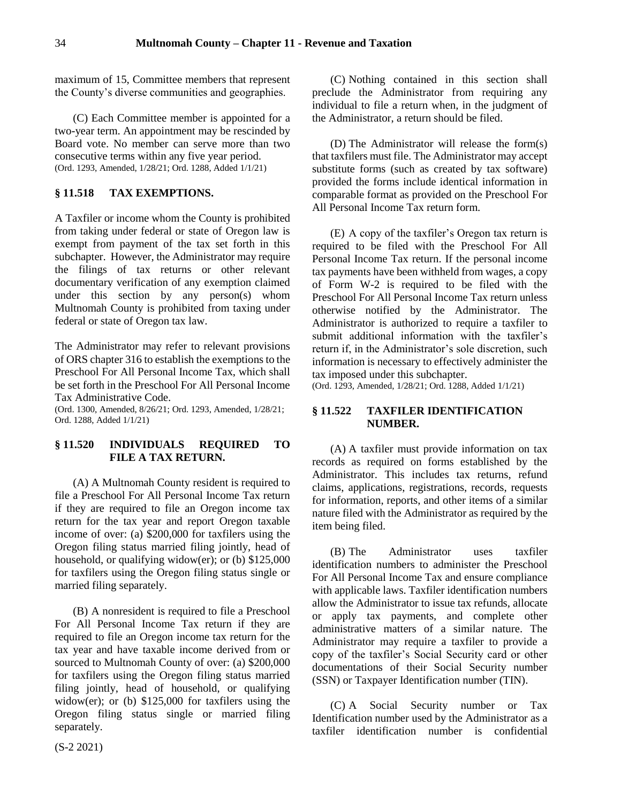maximum of 15, Committee members that represent the County's diverse communities and geographies.

(C) Each Committee member is appointed for a two-year term. An appointment may be rescinded by Board vote. No member can serve more than two consecutive terms within any five year period. (Ord. 1293, Amended, 1/28/21; Ord. 1288, Added 1/1/21)

# <span id="page-33-0"></span>**§ 11.518 TAX EXEMPTIONS.**

A Taxfiler or income whom the County is prohibited from taking under federal or state of Oregon law is exempt from payment of the tax set forth in this subchapter. However, the Administrator may require the filings of tax returns or other relevant documentary verification of any exemption claimed under this section by any person(s) whom Multnomah County is prohibited from taxing under federal or state of Oregon tax law.

The Administrator may refer to relevant provisions of ORS chapter 316 to establish the exemptions to the Preschool For All Personal Income Tax, which shall be set forth in the Preschool For All Personal Income Tax Administrative Code.

(Ord. 1300, Amended, 8/26/21; Ord. 1293, Amended, 1/28/21; Ord. 1288, Added 1/1/21)

### <span id="page-33-1"></span>**§ 11.520 INDIVIDUALS REQUIRED TO FILE A TAX RETURN.**

(A) A Multnomah County resident is required to file a Preschool For All Personal Income Tax return if they are required to file an Oregon income tax return for the tax year and report Oregon taxable income of over: (a) \$200,000 for taxfilers using the Oregon filing status married filing jointly, head of household, or qualifying widow(er); or (b) \$125,000 for taxfilers using the Oregon filing status single or married filing separately.

(B) A nonresident is required to file a Preschool For All Personal Income Tax return if they are required to file an Oregon income tax return for the tax year and have taxable income derived from or sourced to Multnomah County of over: (a) \$200,000 for taxfilers using the Oregon filing status married filing jointly, head of household, or qualifying widow(er); or (b) \$125,000 for taxfilers using the Oregon filing status single or married filing separately.

(C) Nothing contained in this section shall preclude the Administrator from requiring any individual to file a return when, in the judgment of the Administrator, a return should be filed.

(D) The Administrator will release the form(s) that taxfilers must file. The Administrator may accept substitute forms (such as created by tax software) provided the forms include identical information in comparable format as provided on the Preschool For All Personal Income Tax return form.

(E) A copy of the taxfiler's Oregon tax return is required to be filed with the Preschool For All Personal Income Tax return. If the personal income tax payments have been withheld from wages, a copy of Form W-2 is required to be filed with the Preschool For All Personal Income Tax return unless otherwise notified by the Administrator. The Administrator is authorized to require a taxfiler to submit additional information with the taxfiler's return if, in the Administrator's sole discretion, such information is necessary to effectively administer the tax imposed under this subchapter.

(Ord. 1293, Amended, 1/28/21; Ord. 1288, Added 1/1/21)

# <span id="page-33-2"></span>**§ 11.522 TAXFILER IDENTIFICATION NUMBER.**

(A) A taxfiler must provide information on tax records as required on forms established by the Administrator. This includes tax returns, refund claims, applications, registrations, records, requests for information, reports, and other items of a similar nature filed with the Administrator as required by the item being filed.

(B) The Administrator uses taxfiler identification numbers to administer the Preschool For All Personal Income Tax and ensure compliance with applicable laws. Taxfiler identification numbers allow the Administrator to issue tax refunds, allocate or apply tax payments, and complete other administrative matters of a similar nature. The Administrator may require a taxfiler to provide a copy of the taxfiler's Social Security card or other documentations of their Social Security number (SSN) or Taxpayer Identification number (TIN).

(C) A Social Security number or Tax Identification number used by the Administrator as a taxfiler identification number is confidential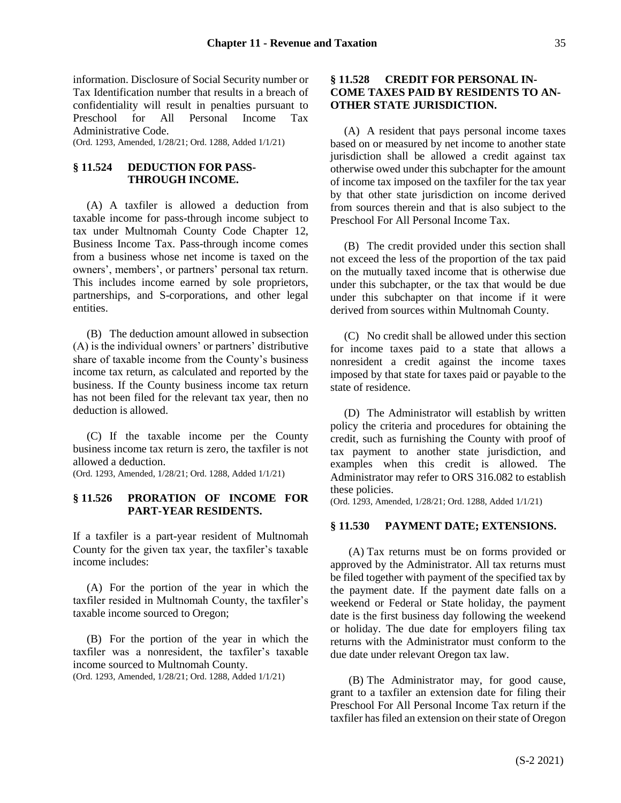information. Disclosure of Social Security number or Tax Identification number that results in a breach of confidentiality will result in penalties pursuant to Preschool for All Personal Income Tax Administrative Code. (Ord. 1293, Amended, 1/28/21; Ord. 1288, Added 1/1/21)

### <span id="page-34-0"></span>**§ 11.524 DEDUCTION FOR PASS-THROUGH INCOME.**

(A) A taxfiler is allowed a deduction from taxable income for pass-through income subject to tax under Multnomah County Code Chapter 12, Business Income Tax. Pass-through income comes from a business whose net income is taxed on the owners', members', or partners' personal tax return. This includes income earned by sole proprietors, partnerships, and S-corporations, and other legal entities.

(B) The deduction amount allowed in subsection (A) is the individual owners' or partners' distributive share of taxable income from the County's business income tax return, as calculated and reported by the business. If the County business income tax return has not been filed for the relevant tax year, then no deduction is allowed.

(C) If the taxable income per the County business income tax return is zero, the taxfiler is not allowed a deduction.

(Ord. 1293, Amended, 1/28/21; Ord. 1288, Added 1/1/21)

# <span id="page-34-1"></span>**§ 11.526 PRORATION OF INCOME FOR PART-YEAR RESIDENTS.**

If a taxfiler is a part-year resident of Multnomah County for the given tax year, the taxfiler's taxable income includes:

(A) For the portion of the year in which the taxfiler resided in Multnomah County, the taxfiler's taxable income sourced to Oregon;

(B) For the portion of the year in which the taxfiler was a nonresident, the taxfiler's taxable income sourced to Multnomah County.

#### (Ord. 1293, Amended, 1/28/21; Ord. 1288, Added 1/1/21)

### <span id="page-34-2"></span>**§ 11.528 CREDIT FOR PERSONAL IN-COME TAXES PAID BY RESIDENTS TO AN-OTHER STATE JURISDICTION.**

(A) A resident that pays personal income taxes based on or measured by net income to another state jurisdiction shall be allowed a credit against tax otherwise owed under this subchapter for the amount of income tax imposed on the taxfiler for the tax year by that other state jurisdiction on income derived from sources therein and that is also subject to the Preschool For All Personal Income Tax.

(B) The credit provided under this section shall not exceed the less of the proportion of the tax paid on the mutually taxed income that is otherwise due under this subchapter, or the tax that would be due under this subchapter on that income if it were derived from sources within Multnomah County.

(C) No credit shall be allowed under this section for income taxes paid to a state that allows a nonresident a credit against the income taxes imposed by that state for taxes paid or payable to the state of residence.

(D) The Administrator will establish by written policy the criteria and procedures for obtaining the credit, such as furnishing the County with proof of tax payment to another state jurisdiction, and examples when this credit is allowed. The Administrator may refer to ORS 316.082 to establish these policies.

(Ord. 1293, Amended, 1/28/21; Ord. 1288, Added 1/1/21)

### <span id="page-34-3"></span>**§ 11.530 PAYMENT DATE; EXTENSIONS.**

(A) Tax returns must be on forms provided or approved by the Administrator. All tax returns must be filed together with payment of the specified tax by the payment date. If the payment date falls on a weekend or Federal or State holiday, the payment date is the first business day following the weekend or holiday. The due date for employers filing tax returns with the Administrator must conform to the due date under relevant Oregon tax law.

(B) The Administrator may, for good cause, grant to a taxfiler an extension date for filing their Preschool For All Personal Income Tax return if the taxfiler has filed an extension on their state of Oregon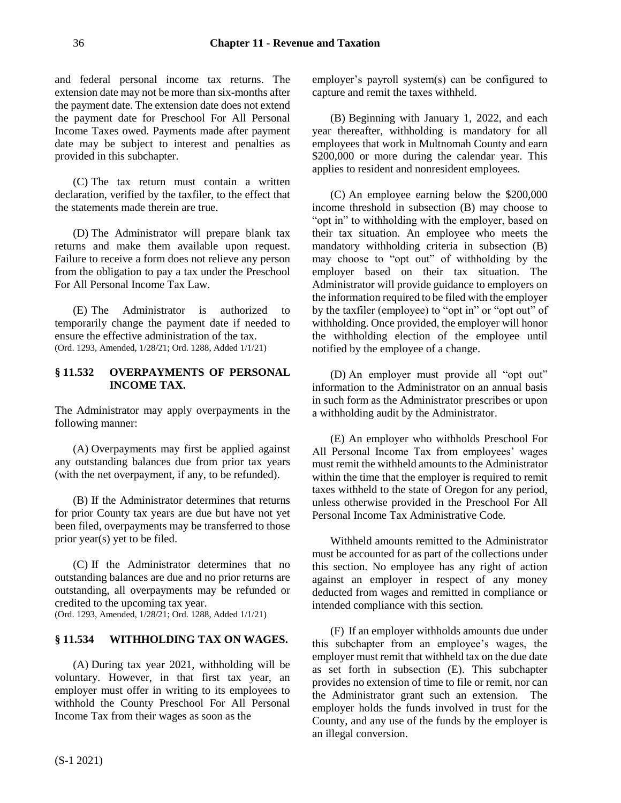and federal personal income tax returns. The extension date may not be more than six-months after the payment date. The extension date does not extend the payment date for Preschool For All Personal Income Taxes owed. Payments made after payment date may be subject to interest and penalties as provided in this subchapter.

(C) The tax return must contain a written declaration, verified by the taxfiler, to the effect that the statements made therein are true.

(D) The Administrator will prepare blank tax returns and make them available upon request. Failure to receive a form does not relieve any person from the obligation to pay a tax under the Preschool For All Personal Income Tax Law.

(E) The Administrator is authorized to temporarily change the payment date if needed to ensure the effective administration of the tax. (Ord. 1293, Amended, 1/28/21; Ord. 1288, Added 1/1/21)

# <span id="page-35-0"></span>**§ 11.532 OVERPAYMENTS OF PERSONAL INCOME TAX.**

The Administrator may apply overpayments in the following manner:

(A) Overpayments may first be applied against any outstanding balances due from prior tax years (with the net overpayment, if any, to be refunded).

(B) If the Administrator determines that returns for prior County tax years are due but have not yet been filed, overpayments may be transferred to those prior year(s) yet to be filed.

(C) If the Administrator determines that no outstanding balances are due and no prior returns are outstanding, all overpayments may be refunded or credited to the upcoming tax year. (Ord. 1293, Amended, 1/28/21; Ord. 1288, Added 1/1/21)

# <span id="page-35-1"></span>**§ 11.534 WITHHOLDING TAX ON WAGES.**

(A) During tax year 2021, withholding will be voluntary. However, in that first tax year, an employer must offer in writing to its employees to withhold the County Preschool For All Personal Income Tax from their wages as soon as the

employer's payroll system(s) can be configured to capture and remit the taxes withheld.

(B) Beginning with January 1, 2022, and each year thereafter, withholding is mandatory for all employees that work in Multnomah County and earn \$200,000 or more during the calendar year. This applies to resident and nonresident employees.

(C) An employee earning below the \$200,000 income threshold in subsection (B) may choose to "opt in" to withholding with the employer, based on their tax situation. An employee who meets the mandatory withholding criteria in subsection (B) may choose to "opt out" of withholding by the employer based on their tax situation. The Administrator will provide guidance to employers on the information required to be filed with the employer by the taxfiler (employee) to "opt in" or "opt out" of withholding. Once provided, the employer will honor the withholding election of the employee until notified by the employee of a change.

(D) An employer must provide all "opt out" information to the Administrator on an annual basis in such form as the Administrator prescribes or upon a withholding audit by the Administrator.

(E) An employer who withholds Preschool For All Personal Income Tax from employees' wages must remit the withheld amounts to the Administrator within the time that the employer is required to remit taxes withheld to the state of Oregon for any period, unless otherwise provided in the Preschool For All Personal Income Tax Administrative Code.

Withheld amounts remitted to the Administrator must be accounted for as part of the collections under this section. No employee has any right of action against an employer in respect of any money deducted from wages and remitted in compliance or intended compliance with this section.

(F) If an employer withholds amounts due under this subchapter from an employee's wages, the employer must remit that withheld tax on the due date as set forth in subsection (E). This subchapter provides no extension of time to file or remit, nor can the Administrator grant such an extension. The employer holds the funds involved in trust for the County, and any use of the funds by the employer is an illegal conversion.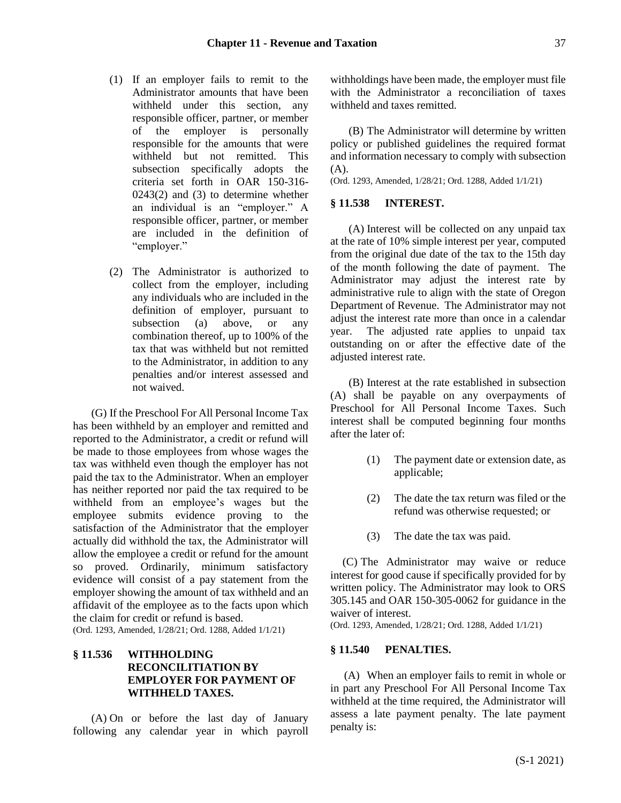- (1) If an employer fails to remit to the Administrator amounts that have been withheld under this section, any responsible officer, partner, or member of the employer is personally responsible for the amounts that were withheld but not remitted. This subsection specifically adopts the criteria set forth in OAR 150-316- 0243(2) and (3) to determine whether an individual is an "employer." A responsible officer, partner, or member are included in the definition of "employer."
- (2) The Administrator is authorized to collect from the employer, including any individuals who are included in the definition of employer, pursuant to subsection (a) above, or any combination thereof, up to 100% of the tax that was withheld but not remitted to the Administrator, in addition to any penalties and/or interest assessed and not waived.

(G) If the Preschool For All Personal Income Tax has been withheld by an employer and remitted and reported to the Administrator, a credit or refund will be made to those employees from whose wages the tax was withheld even though the employer has not paid the tax to the Administrator. When an employer has neither reported nor paid the tax required to be withheld from an employee's wages but the employee submits evidence proving to the satisfaction of the Administrator that the employer actually did withhold the tax, the Administrator will allow the employee a credit or refund for the amount so proved. Ordinarily, minimum satisfactory evidence will consist of a pay statement from the employer showing the amount of tax withheld and an affidavit of the employee as to the facts upon which the claim for credit or refund is based.

(Ord. 1293, Amended, 1/28/21; Ord. 1288, Added 1/1/21)

# <span id="page-36-0"></span>**§ 11.536 WITHHOLDING RECONCILITIATION BY EMPLOYER FOR PAYMENT OF WITHHELD TAXES.**

(A) On or before the last day of January following any calendar year in which payroll

withholdings have been made, the employer must file with the Administrator a reconciliation of taxes withheld and taxes remitted.

(B) The Administrator will determine by written policy or published guidelines the required format and information necessary to comply with subsection  $(A)$ .

(Ord. 1293, Amended, 1/28/21; Ord. 1288, Added 1/1/21)

#### <span id="page-36-1"></span>**§ 11.538 INTEREST.**

(A) Interest will be collected on any unpaid tax at the rate of 10% simple interest per year, computed from the original due date of the tax to the 15th day of the month following the date of payment. The Administrator may adjust the interest rate by administrative rule to align with the state of Oregon Department of Revenue. The Administrator may not adjust the interest rate more than once in a calendar year. The adjusted rate applies to unpaid tax outstanding on or after the effective date of the adjusted interest rate.

(B) Interest at the rate established in subsection (A) shall be payable on any overpayments of Preschool for All Personal Income Taxes. Such interest shall be computed beginning four months after the later of:

- (1) The payment date or extension date, as applicable;
- (2) The date the tax return was filed or the refund was otherwise requested; or
- (3) The date the tax was paid.

(C) The Administrator may waive or reduce interest for good cause if specifically provided for by written policy. The Administrator may look to ORS 305.145 and OAR 150-305-0062 for guidance in the waiver of interest.

(Ord. 1293, Amended, 1/28/21; Ord. 1288, Added 1/1/21)

# <span id="page-36-2"></span>**§ 11.540 PENALTIES.**

(A) When an employer fails to remit in whole or in part any Preschool For All Personal Income Tax withheld at the time required, the Administrator will assess a late payment penalty. The late payment penalty is: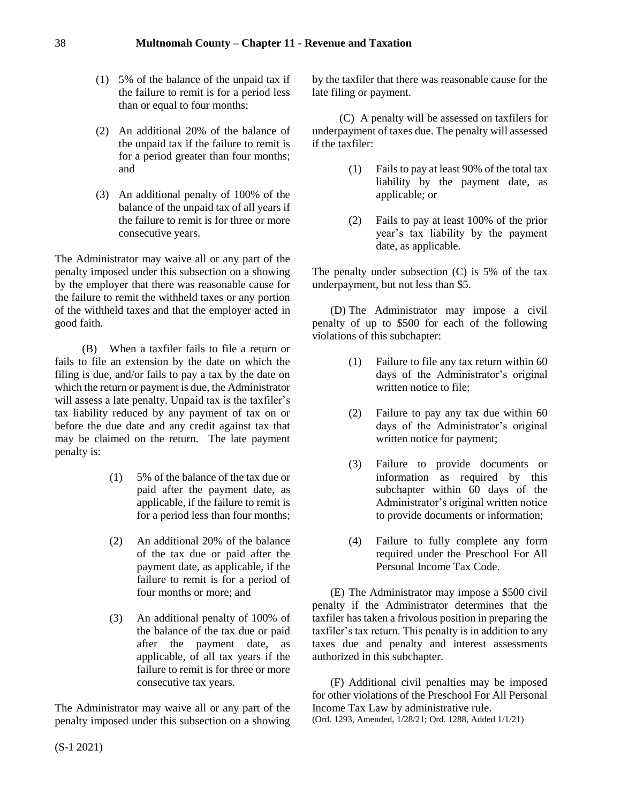- (1) 5% of the balance of the unpaid tax if the failure to remit is for a period less than or equal to four months;
- (2) An additional 20% of the balance of the unpaid tax if the failure to remit is for a period greater than four months; and
- (3) An additional penalty of 100% of the balance of the unpaid tax of all years if the failure to remit is for three or more consecutive years.

The Administrator may waive all or any part of the penalty imposed under this subsection on a showing by the employer that there was reasonable cause for the failure to remit the withheld taxes or any portion of the withheld taxes and that the employer acted in good faith.

(B) When a taxfiler fails to file a return or fails to file an extension by the date on which the filing is due, and/or fails to pay a tax by the date on which the return or payment is due, the Administrator will assess a late penalty. Unpaid tax is the taxfiler's tax liability reduced by any payment of tax on or before the due date and any credit against tax that may be claimed on the return. The late payment penalty is:

- (1) 5% of the balance of the tax due or paid after the payment date, as applicable, if the failure to remit is for a period less than four months;
- (2) An additional 20% of the balance of the tax due or paid after the payment date, as applicable, if the failure to remit is for a period of four months or more; and
- (3) An additional penalty of 100% of the balance of the tax due or paid after the payment date, as applicable, of all tax years if the failure to remit is for three or more consecutive tax years.

The Administrator may waive all or any part of the penalty imposed under this subsection on a showing

by the taxfiler that there was reasonable cause for the late filing or payment.

(C) A penalty will be assessed on taxfilers for underpayment of taxes due. The penalty will assessed if the taxfiler:

- (1) Fails to pay at least 90% of the total tax liability by the payment date, as applicable; or
- (2) Fails to pay at least 100% of the prior year's tax liability by the payment date, as applicable.

The penalty under subsection (C) is 5% of the tax underpayment, but not less than \$5.

(D) The Administrator may impose a civil penalty of up to \$500 for each of the following violations of this subchapter:

- (1) Failure to file any tax return within 60 days of the Administrator's original written notice to file;
- (2) Failure to pay any tax due within 60 days of the Administrator's original written notice for payment;
- (3) Failure to provide documents or information as required by this subchapter within 60 days of the Administrator's original written notice to provide documents or information;
- (4) Failure to fully complete any form required under the Preschool For All Personal Income Tax Code.

(E) The Administrator may impose a \$500 civil penalty if the Administrator determines that the taxfiler has taken a frivolous position in preparing the taxfiler's tax return. This penalty is in addition to any taxes due and penalty and interest assessments authorized in this subchapter.

(F) Additional civil penalties may be imposed for other violations of the Preschool For All Personal Income Tax Law by administrative rule. (Ord. 1293, Amended, 1/28/21; Ord. 1288, Added 1/1/21)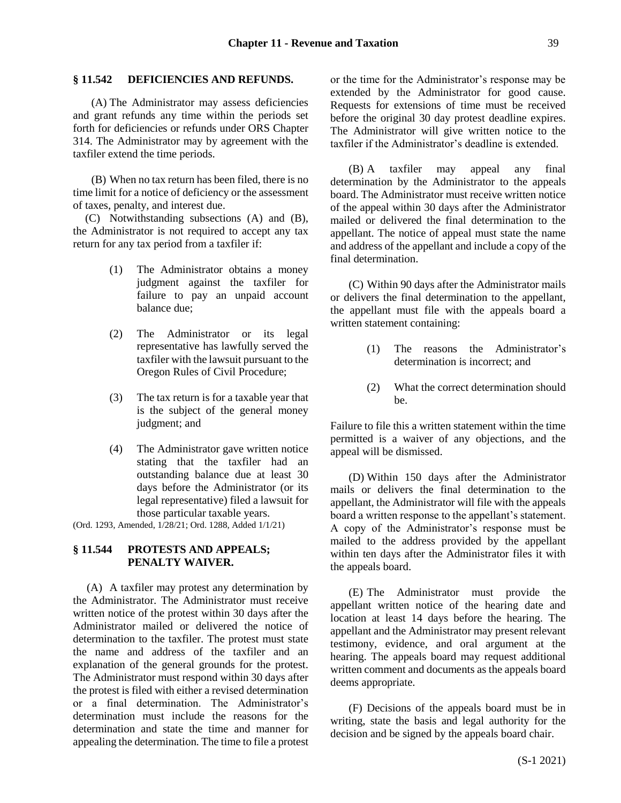### <span id="page-38-0"></span>**§ 11.542 DEFICIENCIES AND REFUNDS.**

(A) The Administrator may assess deficiencies and grant refunds any time within the periods set forth for deficiencies or refunds under ORS Chapter 314. The Administrator may by agreement with the taxfiler extend the time periods.

(B) When no tax return has been filed, there is no time limit for a notice of deficiency or the assessment of taxes, penalty, and interest due.

(C) Notwithstanding subsections (A) and (B), the Administrator is not required to accept any tax return for any tax period from a taxfiler if:

- (1) The Administrator obtains a money judgment against the taxfiler for failure to pay an unpaid account balance due;
- (2) The Administrator or its legal representative has lawfully served the taxfiler with the lawsuit pursuant to the Oregon Rules of Civil Procedure;
- (3) The tax return is for a taxable year that is the subject of the general money judgment; and
- (4) The Administrator gave written notice stating that the taxfiler had an outstanding balance due at least 30 days before the Administrator (or its legal representative) filed a lawsuit for those particular taxable years.

(Ord. 1293, Amended, 1/28/21; Ord. 1288, Added 1/1/21)

### <span id="page-38-1"></span>**§ 11.544 PROTESTS AND APPEALS; PENALTY WAIVER.**

(A) A taxfiler may protest any determination by the Administrator. The Administrator must receive written notice of the protest within 30 days after the Administrator mailed or delivered the notice of determination to the taxfiler. The protest must state the name and address of the taxfiler and an explanation of the general grounds for the protest. The Administrator must respond within 30 days after the protest is filed with either a revised determination or a final determination. The Administrator's determination must include the reasons for the determination and state the time and manner for appealing the determination. The time to file a protest or the time for the Administrator's response may be extended by the Administrator for good cause. Requests for extensions of time must be received before the original 30 day protest deadline expires. The Administrator will give written notice to the taxfiler if the Administrator's deadline is extended.

(B) A taxfiler may appeal any final determination by the Administrator to the appeals board. The Administrator must receive written notice of the appeal within 30 days after the Administrator mailed or delivered the final determination to the appellant. The notice of appeal must state the name and address of the appellant and include a copy of the final determination.

(C) Within 90 days after the Administrator mails or delivers the final determination to the appellant, the appellant must file with the appeals board a written statement containing:

- (1) The reasons the Administrator's determination is incorrect; and
- (2) What the correct determination should be.

Failure to file this a written statement within the time permitted is a waiver of any objections, and the appeal will be dismissed.

(D) Within 150 days after the Administrator mails or delivers the final determination to the appellant, the Administrator will file with the appeals board a written response to the appellant's statement. A copy of the Administrator's response must be mailed to the address provided by the appellant within ten days after the Administrator files it with the appeals board.

(E) The Administrator must provide the appellant written notice of the hearing date and location at least 14 days before the hearing. The appellant and the Administrator may present relevant testimony, evidence, and oral argument at the hearing. The appeals board may request additional written comment and documents as the appeals board deems appropriate.

(F) Decisions of the appeals board must be in writing, state the basis and legal authority for the decision and be signed by the appeals board chair.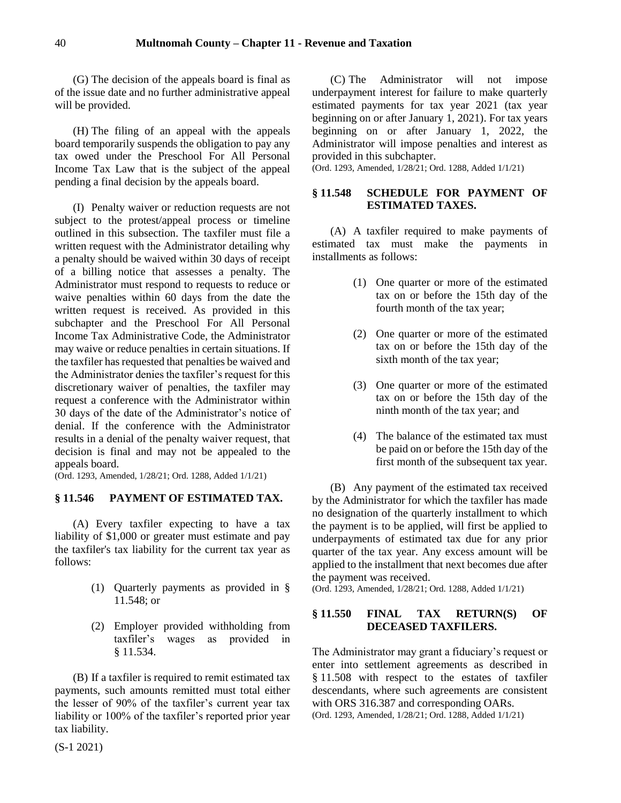(G) The decision of the appeals board is final as of the issue date and no further administrative appeal will be provided.

(H) The filing of an appeal with the appeals board temporarily suspends the obligation to pay any tax owed under the Preschool For All Personal Income Tax Law that is the subject of the appeal pending a final decision by the appeals board.

(I) Penalty waiver or reduction requests are not subject to the protest/appeal process or timeline outlined in this subsection. The taxfiler must file a written request with the Administrator detailing why a penalty should be waived within 30 days of receipt of a billing notice that assesses a penalty. The Administrator must respond to requests to reduce or waive penalties within 60 days from the date the written request is received. As provided in this subchapter and the Preschool For All Personal Income Tax Administrative Code, the Administrator may waive or reduce penalties in certain situations. If the taxfiler has requested that penalties be waived and the Administrator denies the taxfiler's request for this discretionary waiver of penalties, the taxfiler may request a conference with the Administrator within 30 days of the date of the Administrator's notice of denial. If the conference with the Administrator results in a denial of the penalty waiver request, that decision is final and may not be appealed to the appeals board.

(Ord. 1293, Amended, 1/28/21; Ord. 1288, Added 1/1/21)

### <span id="page-39-0"></span>**§ 11.546 PAYMENT OF ESTIMATED TAX.**

(A) Every taxfiler expecting to have a tax liability of \$1,000 or greater must estimate and pay the taxfiler's tax liability for the current tax year as follows:

- (1) Quarterly payments as provided in § 11.548; or
- (2) Employer provided withholding from taxfiler's wages as provided in § 11.534.

(B) If a taxfiler is required to remit estimated tax payments, such amounts remitted must total either the lesser of 90% of the taxfiler's current year tax liability or 100% of the taxfiler's reported prior year tax liability.

(C) The Administrator will not impose underpayment interest for failure to make quarterly estimated payments for tax year 2021 (tax year beginning on or after January 1, 2021). For tax years beginning on or after January 1, 2022, the Administrator will impose penalties and interest as provided in this subchapter.

(Ord. 1293, Amended, 1/28/21; Ord. 1288, Added 1/1/21)

# <span id="page-39-1"></span>**§ 11.548 SCHEDULE FOR PAYMENT OF ESTIMATED TAXES.**

(A) A taxfiler required to make payments of estimated tax must make the payments in installments as follows:

- (1) One quarter or more of the estimated tax on or before the 15th day of the fourth month of the tax year;
- (2) One quarter or more of the estimated tax on or before the 15th day of the sixth month of the tax year;
- (3) One quarter or more of the estimated tax on or before the 15th day of the ninth month of the tax year; and
- (4) The balance of the estimated tax must be paid on or before the 15th day of the first month of the subsequent tax year.

(B) Any payment of the estimated tax received by the Administrator for which the taxfiler has made no designation of the quarterly installment to which the payment is to be applied, will first be applied to underpayments of estimated tax due for any prior quarter of the tax year. Any excess amount will be applied to the installment that next becomes due after the payment was received.

(Ord. 1293, Amended, 1/28/21; Ord. 1288, Added 1/1/21)

# <span id="page-39-2"></span>**§ 11.550 FINAL TAX RETURN(S) OF DECEASED TAXFILERS.**

The Administrator may grant a fiduciary's request or enter into settlement agreements as described in § 11.508 with respect to the estates of taxfiler descendants, where such agreements are consistent with ORS 316.387 and corresponding OARs. (Ord. 1293, Amended, 1/28/21; Ord. 1288, Added 1/1/21)

(S-1 2021)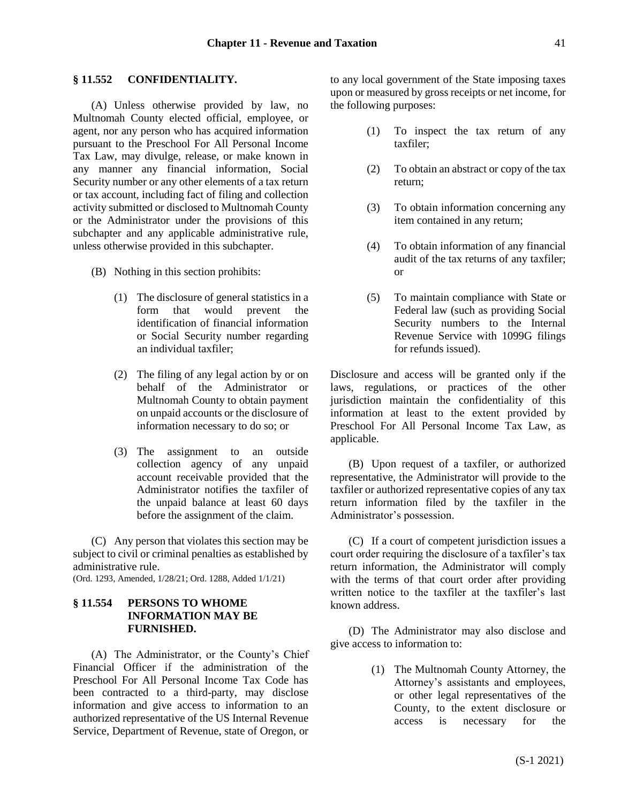#### <span id="page-40-0"></span>**§ 11.552 CONFIDENTIALITY.**

(A) Unless otherwise provided by law, no Multnomah County elected official, employee, or agent, nor any person who has acquired information pursuant to the Preschool For All Personal Income Tax Law, may divulge, release, or make known in any manner any financial information, Social Security number or any other elements of a tax return or tax account, including fact of filing and collection activity submitted or disclosed to Multnomah County or the Administrator under the provisions of this subchapter and any applicable administrative rule, unless otherwise provided in this subchapter.

- (B) Nothing in this section prohibits:
	- (1) The disclosure of general statistics in a form that would prevent the identification of financial information or Social Security number regarding an individual taxfiler;
	- (2) The filing of any legal action by or on behalf of the Administrator or Multnomah County to obtain payment on unpaid accounts or the disclosure of information necessary to do so; or
	- (3) The assignment to an outside collection agency of any unpaid account receivable provided that the Administrator notifies the taxfiler of the unpaid balance at least 60 days before the assignment of the claim.

(C) Any person that violates this section may be subject to civil or criminal penalties as established by administrative rule.

(Ord. 1293, Amended, 1/28/21; Ord. 1288, Added 1/1/21)

# <span id="page-40-1"></span>**§ 11.554 PERSONS TO WHOME INFORMATION MAY BE FURNISHED.**

(A) The Administrator, or the County's Chief Financial Officer if the administration of the Preschool For All Personal Income Tax Code has been contracted to a third-party, may disclose information and give access to information to an authorized representative of the US Internal Revenue Service, Department of Revenue, state of Oregon, or to any local government of the State imposing taxes upon or measured by gross receipts or net income, for the following purposes:

- (1) To inspect the tax return of any taxfiler;
- (2) To obtain an abstract or copy of the tax return;
- (3) To obtain information concerning any item contained in any return;
- (4) To obtain information of any financial audit of the tax returns of any taxfiler; or
- (5) To maintain compliance with State or Federal law (such as providing Social Security numbers to the Internal Revenue Service with 1099G filings for refunds issued).

Disclosure and access will be granted only if the laws, regulations, or practices of the other jurisdiction maintain the confidentiality of this information at least to the extent provided by Preschool For All Personal Income Tax Law, as applicable.

(B) Upon request of a taxfiler, or authorized representative, the Administrator will provide to the taxfiler or authorized representative copies of any tax return information filed by the taxfiler in the Administrator's possession.

(C) If a court of competent jurisdiction issues a court order requiring the disclosure of a taxfiler's tax return information, the Administrator will comply with the terms of that court order after providing written notice to the taxfiler at the taxfiler's last known address.

(D) The Administrator may also disclose and give access to information to:

> (1) The Multnomah County Attorney, the Attorney's assistants and employees, or other legal representatives of the County, to the extent disclosure or access is necessary for the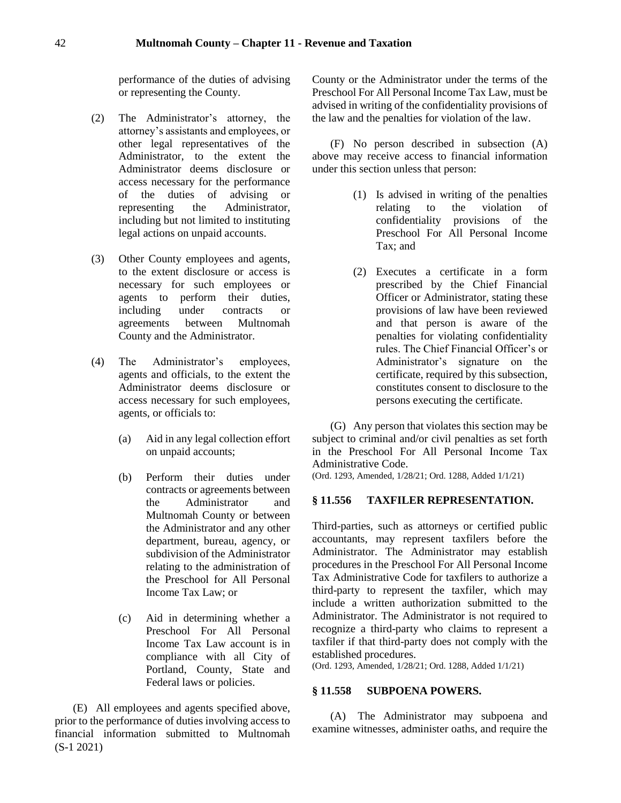performance of the duties of advising or representing the County.

- (2) The Administrator's attorney, the attorney's assistants and employees, or other legal representatives of the Administrator, to the extent the Administrator deems disclosure or access necessary for the performance of the duties of advising or representing the Administrator, including but not limited to instituting legal actions on unpaid accounts.
- (3) Other County employees and agents, to the extent disclosure or access is necessary for such employees or agents to perform their duties, including under contracts or agreements between Multnomah County and the Administrator.
- (4) The Administrator's employees, agents and officials, to the extent the Administrator deems disclosure or access necessary for such employees, agents, or officials to:
	- (a) Aid in any legal collection effort on unpaid accounts;
	- (b) Perform their duties under contracts or agreements between the Administrator and Multnomah County or between the Administrator and any other department, bureau, agency, or subdivision of the Administrator relating to the administration of the Preschool for All Personal Income Tax Law; or
	- (c) Aid in determining whether a Preschool For All Personal Income Tax Law account is in compliance with all City of Portland, County, State and Federal laws or policies.

(S-1 2021) (E) All employees and agents specified above, prior to the performance of duties involving access to financial information submitted to Multnomah County or the Administrator under the terms of the Preschool For All Personal Income Tax Law, must be advised in writing of the confidentiality provisions of the law and the penalties for violation of the law.

(F) No person described in subsection (A) above may receive access to financial information under this section unless that person:

- (1) Is advised in writing of the penalties relating to the violation of confidentiality provisions of the Preschool For All Personal Income Tax; and
- (2) Executes a certificate in a form prescribed by the Chief Financial Officer or Administrator, stating these provisions of law have been reviewed and that person is aware of the penalties for violating confidentiality rules. The Chief Financial Officer's or Administrator's signature on the certificate, required by this subsection, constitutes consent to disclosure to the persons executing the certificate.

(G) Any person that violates this section may be subject to criminal and/or civil penalties as set forth in the Preschool For All Personal Income Tax Administrative Code.

(Ord. 1293, Amended, 1/28/21; Ord. 1288, Added 1/1/21)

### <span id="page-41-0"></span>**§ 11.556 TAXFILER REPRESENTATION.**

Third-parties, such as attorneys or certified public accountants, may represent taxfilers before the Administrator. The Administrator may establish procedures in the Preschool For All Personal Income Tax Administrative Code for taxfilers to authorize a third-party to represent the taxfiler, which may include a written authorization submitted to the Administrator. The Administrator is not required to recognize a third-party who claims to represent a taxfiler if that third-party does not comply with the established procedures.

(Ord. 1293, Amended, 1/28/21; Ord. 1288, Added 1/1/21)

### <span id="page-41-1"></span>**§ 11.558 SUBPOENA POWERS.**

(A) The Administrator may subpoena and examine witnesses, administer oaths, and require the